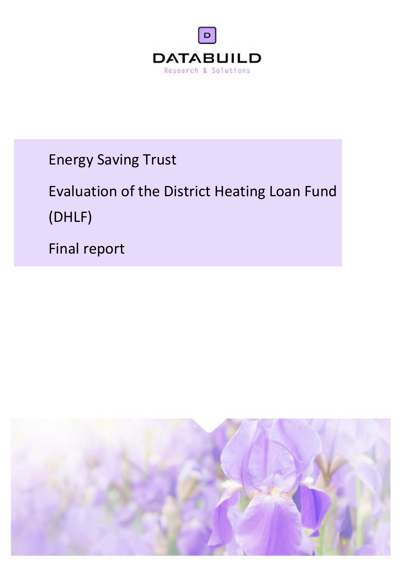

Energy Saving Trust

# Evaluation of the District Heating Loan Fund (DHLF)

Final report

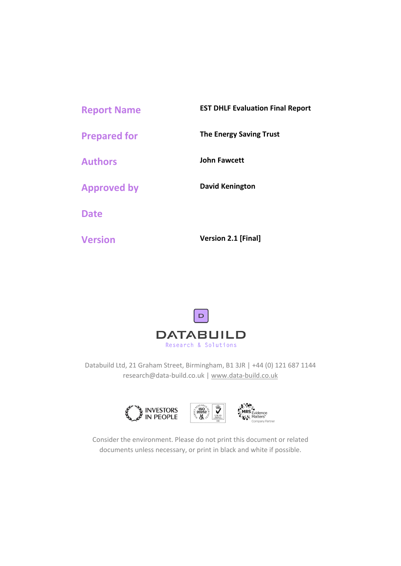| <b>Report Name</b>  | <b>EST DHLF Evaluation Final Report</b> |
|---------------------|-----------------------------------------|
| <b>Prepared for</b> | <b>The Energy Saving Trust</b>          |
| <b>Authors</b>      | <b>John Fawcett</b>                     |
| <b>Approved by</b>  | David Kenington                         |
| <b>Date</b>         |                                         |
| <b>Version</b>      | <b>Version 2.1 [Final]</b>              |



Databuild Ltd, 21 Graham Street, Birmingham, B1 3JR | +44 (0) 121 687 1144 research@data-build.co.uk | www.data-build.co.uk



Consider the environment. Please do not print this document or related documents unless necessary, or print in black and white if possible.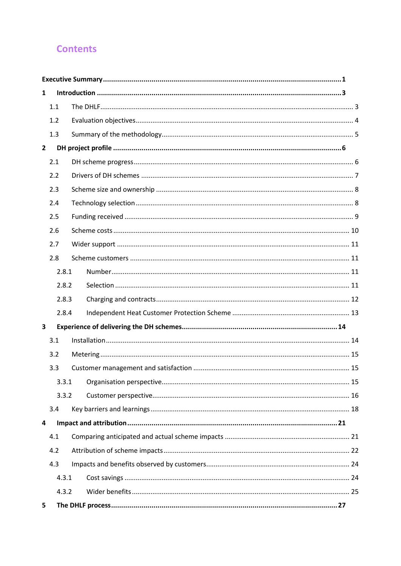# **Contents**

| 1            |       |  |  |  |  |
|--------------|-------|--|--|--|--|
|              | 1.1   |  |  |  |  |
|              | 1.2   |  |  |  |  |
|              | 1.3   |  |  |  |  |
| $\mathbf{2}$ |       |  |  |  |  |
|              | 2.1   |  |  |  |  |
|              | 2.2   |  |  |  |  |
|              | 2.3   |  |  |  |  |
|              | 2.4   |  |  |  |  |
|              | 2.5   |  |  |  |  |
|              | 2.6   |  |  |  |  |
|              | 2.7   |  |  |  |  |
|              | 2.8   |  |  |  |  |
|              | 2.8.1 |  |  |  |  |
| 2.8.2        |       |  |  |  |  |
| 2.8.3        |       |  |  |  |  |
|              | 2.8.4 |  |  |  |  |
| 3            |       |  |  |  |  |
|              | 3.1   |  |  |  |  |
|              | 3.2   |  |  |  |  |
|              | 3.3   |  |  |  |  |
|              | 3.3.1 |  |  |  |  |
|              | 3.3.2 |  |  |  |  |
|              | 3.4   |  |  |  |  |
| 4            |       |  |  |  |  |
|              | 4.1   |  |  |  |  |
|              | 4.2   |  |  |  |  |
|              | 4.3   |  |  |  |  |
|              | 4.3.1 |  |  |  |  |
|              | 4.3.2 |  |  |  |  |
| 5            |       |  |  |  |  |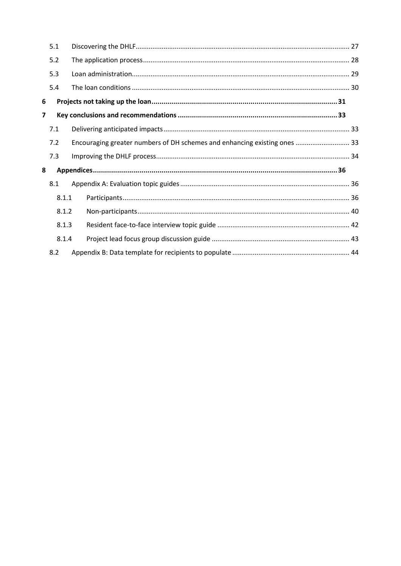|   | 5.1   |                                                                           |  |
|---|-------|---------------------------------------------------------------------------|--|
|   | 5.2   |                                                                           |  |
|   | 5.3   |                                                                           |  |
|   | 5.4   |                                                                           |  |
| 6 |       |                                                                           |  |
| 7 |       |                                                                           |  |
|   | 7.1   |                                                                           |  |
|   | 7.2   | Encouraging greater numbers of DH schemes and enhancing existing ones  33 |  |
|   | 7.3   |                                                                           |  |
| 8 |       |                                                                           |  |
|   | 8.1   |                                                                           |  |
|   | 8.1.1 |                                                                           |  |
|   | 8.1.2 |                                                                           |  |
|   | 8.1.3 |                                                                           |  |
|   | 8.1.4 |                                                                           |  |
|   | 8.2   |                                                                           |  |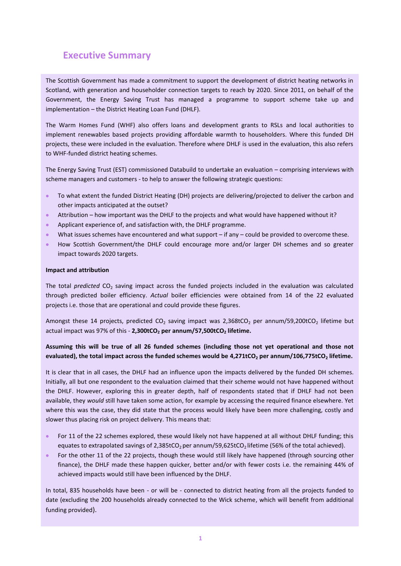# <span id="page-4-0"></span>**Executive Summary**

The Scottish Government has made a commitment to support the development of district heating networks in Scotland, with generation and householder connection targets to reach by 2020. Since 2011, on behalf of the Government, the Energy Saving Trust has managed a programme to support scheme take up and implementation – the District Heating Loan Fund (DHLF).

The Warm Homes Fund (WHF) also offers loans and development grants to RSLs and local authorities to implement renewables based projects providing affordable warmth to householders. Where this funded DH projects, these were included in the evaluation. Therefore where DHLF is used in the evaluation, this also refers to WHF-funded district heating schemes.

The Energy Saving Trust (EST) commissioned Databuild to undertake an evaluation – comprising interviews with scheme managers and customers - to help to answer the following strategic questions:

- To what extent the funded District Heating (DH) projects are delivering/projected to deliver the carbon and other impacts anticipated at the outset?
- Attribution how important was the DHLF to the projects and what would have happened without it?
- Applicant experience of, and satisfaction with, the DHLF programme.
- What issues schemes have encountered and what support if any could be provided to overcome these.
- How Scottish Government/the DHLF could encourage more and/or larger DH schemes and so greater impact towards 2020 targets.

### **Impact and attribution**

The total *predicted* CO<sub>2</sub> saving impact across the funded projects included in the evaluation was calculated through predicted boiler efficiency. *Actual* boiler efficiencies were obtained from 14 of the 22 evaluated projects i.e. those that are operational and could provide these figures.

Amongst these 14 projects, predicted CO<sub>2</sub> saving impact was 2,368tCO<sub>2</sub> per annum/59,200tCO<sub>2</sub> lifetime but actual impact was 97% of this - **2,300tCO<sup>2</sup> per annum/57,500tCO<sup>2</sup> lifetime.** 

### **Assuming this will be true of all 26 funded schemes (including those not yet operational and those not evaluated), the total impact across the funded schemes would be 4,271tCO<sup>2</sup> per annum/106,775tCO<sup>2</sup> lifetime.**

It is clear that in all cases, the DHLF had an influence upon the impacts delivered by the funded DH schemes. Initially, all but one respondent to the evaluation claimed that their scheme would not have happened without the DHLF. However, exploring this in greater depth, half of respondents stated that if DHLF had not been available, they *would* still have taken some action, for example by accessing the required finance elsewhere. Yet where this was the case, they did state that the process would likely have been more challenging, costly and slower thus placing risk on project delivery. This means that:

- For 11 of the 22 schemes explored, these would likely not have happened at all without DHLF funding; this equates to extrapolated savings of 2,385tCO<sub>2</sub> per annum/59,625tCO<sub>2</sub> lifetime (56% of the total achieved).
- For the other 11 of the 22 projects, though these would still likely have happened (through sourcing other finance), the DHLF made these happen quicker, better and/or with fewer costs i.e. the remaining 44% of achieved impacts would still have been influenced by the DHLF.

In total, 835 households have been - or will be - connected to district heating from all the projects funded to date (excluding the 200 households already connected to the Wick scheme, which will benefit from additional funding provided).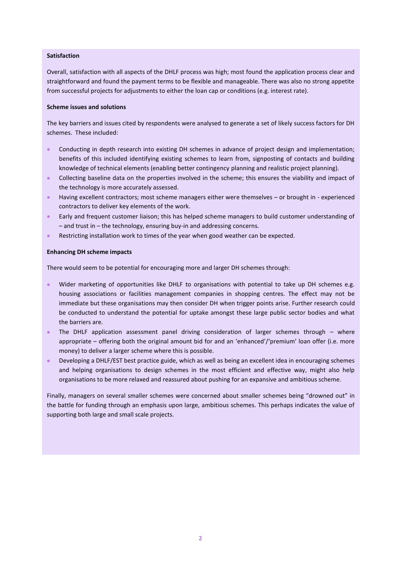### **Satisfaction**

Overall, satisfaction with all aspects of the DHLF process was high; most found the application process clear and straightforward and found the payment terms to be flexible and manageable. There was also no strong appetite from successful projects for adjustments to either the loan cap or conditions (e.g. interest rate).

### **Scheme issues and solutions**

The key barriers and issues cited by respondents were analysed to generate a set of likely success factors for DH schemes. These included:

- Conducting in depth research into existing DH schemes in advance of project design and implementation; benefits of this included identifying existing schemes to learn from, signposting of contacts and building knowledge of technical elements (enabling better contingency planning and realistic project planning).
- Collecting baseline data on the properties involved in the scheme; this ensures the viability and impact of the technology is more accurately assessed.
- Having excellent contractors; most scheme managers either were themselves or brought in experienced contractors to deliver key elements of the work.
- Early and frequent customer liaison; this has helped scheme managers to build customer understanding of – and trust in – the technology, ensuring buy-in and addressing concerns.
- Restricting installation work to times of the year when good weather can be expected.

### **Enhancing DH scheme impacts**

There would seem to be potential for encouraging more and larger DH schemes through:

- Wider marketing of opportunities like DHLF to organisations with potential to take up DH schemes e.g. housing associations or facilities management companies in shopping centres. The effect may not be immediate but these organisations may then consider DH when trigger points arise. Further research could be conducted to understand the potential for uptake amongst these large public sector bodies and what the barriers are.
- The DHLF application assessment panel driving consideration of larger schemes through where appropriate – offering both the original amount bid for and an 'enhanced'/'premium' loan offer (i.e. more money) to deliver a larger scheme where this is possible.
- **Developing a DHLF/EST best practice guide, which as well as being an excellent idea in encouraging schemes** and helping organisations to design schemes in the most efficient and effective way, might also help organisations to be more relaxed and reassured about pushing for an expansive and ambitious scheme.

Finally, managers on several smaller schemes were concerned about smaller schemes being "drowned out" in the battle for funding through an emphasis upon large, ambitious schemes. This perhaps indicates the value of supporting both large and small scale projects.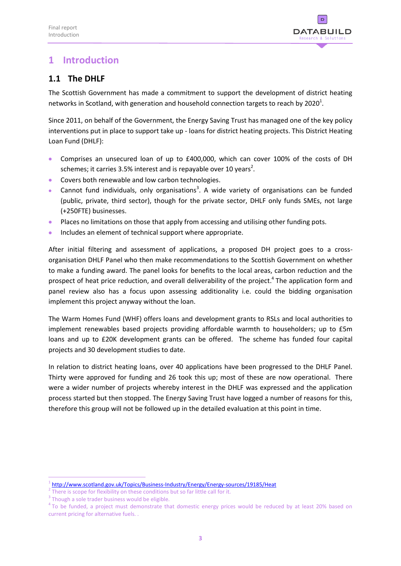

# <span id="page-6-0"></span>**1 Introduction**

# <span id="page-6-1"></span>**1.1 The DHLF**

The Scottish Government has made a commitment to support the development of district heating networks in Scotland, with generation and household connection targets to reach by 2020<sup>1</sup>.

Since 2011, on behalf of the Government, the Energy Saving Trust has managed one of the key policy interventions put in place to support take up - loans for district heating projects. This District Heating Loan Fund (DHLF):

- Comprises an unsecured loan of up to £400,000, which can cover 100% of the costs of DH schemes; it carries 3.5% interest and is repayable over 10 years<sup>2</sup>.
- **Covers both renewable and low carbon technologies.**
- Cannot fund individuals, only organisations<sup>3</sup>. A wide variety of organisations can be funded (public, private, third sector), though for the private sector, DHLF only funds SMEs, not large (+250FTE) businesses.
- Places no limitations on those that apply from accessing and utilising other funding pots.
- **•** Includes an element of technical support where appropriate.

After initial filtering and assessment of applications, a proposed DH project goes to a crossorganisation DHLF Panel who then make recommendations to the Scottish Government on whether to make a funding award. The panel looks for benefits to the local areas, carbon reduction and the prospect of heat price reduction, and overall deliverability of the project.<sup>4</sup> The application form and panel review also has a focus upon assessing additionality i.e. could the bidding organisation implement this project anyway without the loan.

The Warm Homes Fund (WHF) offers loans and development grants to RSLs and local authorities to implement renewables based projects providing affordable warmth to householders; up to £5m loans and up to £20K development grants can be offered. The scheme has funded four capital projects and 30 development studies to date.

In relation to district heating loans, over 40 applications have been progressed to the DHLF Panel. Thirty were approved for funding and 26 took this up; most of these are now operational. There were a wider number of projects whereby interest in the DHLF was expressed and the application process started but then stopped. The Energy Saving Trust have logged a number of reasons for this, therefore this group will not be followed up in the detailed evaluation at this point in time.

1

<sup>1</sup> <http://www.scotland.gov.uk/Topics/Business-Industry/Energy/Energy-sources/19185/Heat>

 $2$  There is scope for flexibility on these conditions but so far little call for it.

<sup>&</sup>lt;sup>3</sup> Though a sole trader business would be eligible.

<sup>&</sup>lt;sup>4</sup> To be funded, a project must demonstrate that domestic energy prices would be reduced by at least 20% based on current pricing for alternative fuels. .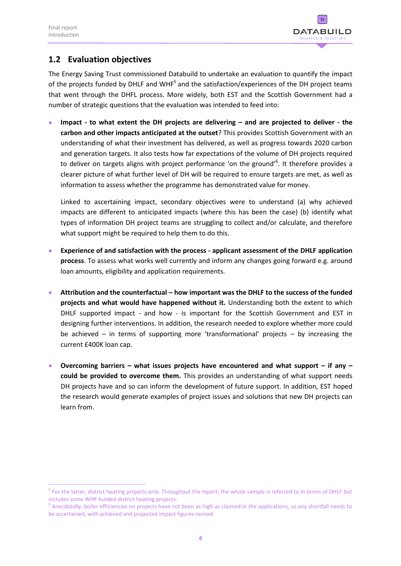$\overline{a}$ 



# <span id="page-7-0"></span>**1.2 Evaluation objectives**

The Energy Saving Trust commissioned Databuild to undertake an evaluation to quantify the impact of the projects funded by DHLF and WHF<sup>5</sup> and the satisfaction/experiences of the DH project teams that went through the DHFL process. More widely, both EST and the Scottish Government had a number of strategic questions that the evaluation was intended to feed into:

 **Impact - to what extent the DH projects are delivering – and are projected to deliver - the carbon and other impacts anticipated at the outset**? This provides Scottish Government with an understanding of what their investment has delivered, as well as progress towards 2020 carbon and generation targets. It also tests how far expectations of the volume of DH projects required to deliver on targets aligns with project performance 'on the ground'<sup>6</sup>. It therefore provides a clearer picture of what further level of DH will be required to ensure targets are met, as well as information to assess whether the programme has demonstrated value for money.

Linked to ascertaining impact, secondary objectives were to understand (a) why achieved impacts are different to anticipated impacts (where this has been the case) (b) identify what types of information DH project teams are struggling to collect and/or calculate, and therefore what support might be required to help them to do this.

- **Experience of and satisfaction with the process - applicant assessment of the DHLF application process**. To assess what works well currently and inform any changes going forward e.g. around loan amounts, eligibility and application requirements.
- **Attribution and the counterfactual – how important was the DHLF to the success of the funded projects and what would have happened without it.** Understanding both the extent to which DHLF supported impact - and how - is important for the Scottish Government and EST in designing further interventions. In addition, the research needed to explore whether more could be achieved – in terms of supporting more 'transformational' projects – by increasing the current £400K loan cap.
- **Overcoming barriers – what issues projects have encountered and what support – if any – could be provided to overcome them.** This provides an understanding of what support needs DH projects have and so can inform the development of future support. In addition, EST hoped the research would generate examples of project issues and solutions that new DH projects can learn from.

<sup>&</sup>lt;sup>5</sup> For the latter, district heating projects only. Throughout the report, the whole sample is referred to in terms of DHLF but includes some WHF-funded district heating projects.

 $<sup>6</sup>$  Anecdotally, boiler efficiencies on projects have not been as high as claimed in the applications, so any shortfall needs to</sup> be ascertained, with achieved and projected impact figures revised.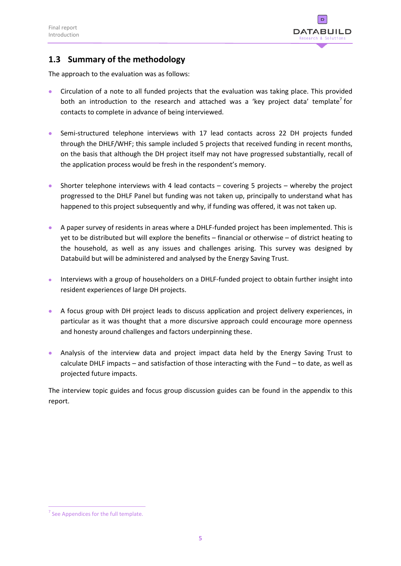

# <span id="page-8-0"></span>**1.3 Summary of the methodology**

The approach to the evaluation was as follows:

- Circulation of a note to all funded projects that the evaluation was taking place. This provided both an introduction to the research and attached was a 'key project data' template<sup>7</sup> for contacts to complete in advance of being interviewed.
- Semi-structured telephone interviews with 17 lead contacts across 22 DH projects funded through the DHLF/WHF; this sample included 5 projects that received funding in recent months, on the basis that although the DH project itself may not have progressed substantially, recall of the application process would be fresh in the respondent's memory.
- Shorter telephone interviews with 4 lead contacts covering 5 projects whereby the project progressed to the DHLF Panel but funding was not taken up, principally to understand what has happened to this project subsequently and why, if funding was offered, it was not taken up.
- A paper survey of residents in areas where a DHLF-funded project has been implemented. This is yet to be distributed but will explore the benefits – financial or otherwise – of district heating to the household, as well as any issues and challenges arising. This survey was designed by Databuild but will be administered and analysed by the Energy Saving Trust.
- Interviews with a group of householders on a DHLF-funded project to obtain further insight into resident experiences of large DH projects.
- A focus group with DH project leads to discuss application and project delivery experiences, in particular as it was thought that a more discursive approach could encourage more openness and honesty around challenges and factors underpinning these.
- Analysis of the interview data and project impact data held by the Energy Saving Trust to calculate DHLF impacts – and satisfaction of those interacting with the Fund – to date, as well as projected future impacts.

The interview topic guides and focus group discussion guides can be found in the appendix to this report.

<sup>1</sup>  $<sup>7</sup>$  See Appendices for the full template.</sup>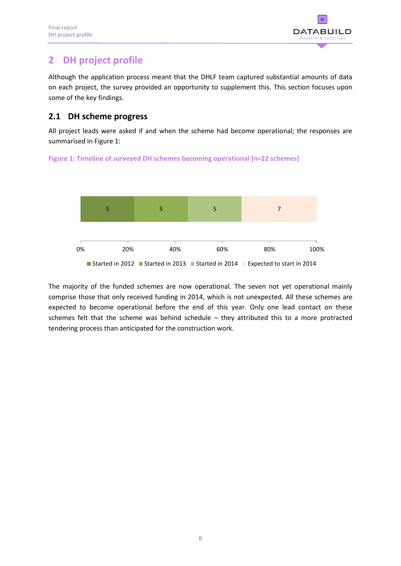

# <span id="page-9-0"></span>**2 DH project profile**

Although the application process meant that the DHLF team captured substantial amounts of data on each project, the survey provided an opportunity to supplement this. This section focuses upon some of the key findings.

### <span id="page-9-1"></span>**2.1 DH scheme progress**

All project leads were asked if and when the scheme had become operational; the responses are summarised in Figure 1:





The majority of the funded schemes are now operational. The seven not yet operational mainly comprise those that only received funding in 2014, which is not unexpected. All these schemes are expected to become operational before the end of this year. Only one lead contact on these schemes felt that the scheme was behind schedule – they attributed this to a more protracted tendering process than anticipated for the construction work.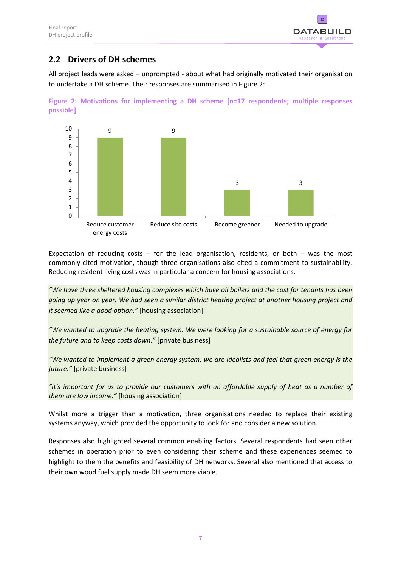

# <span id="page-10-0"></span>**2.2 Drivers of DH schemes**

All project leads were asked – unprompted - about what had originally motivated their organisation to undertake a DH scheme. Their responses are summarised in Figure 2:





Expectation of reducing costs  $-$  for the lead organisation, residents, or both  $-$  was the most commonly cited motivation, though three organisations also cited a commitment to sustainability. Reducing resident living costs was in particular a concern for housing associations.

*"We have three sheltered housing complexes which have oil boilers and the cost for tenants has been going up year on year. We had seen a similar district heating project at another housing project and it seemed like a good option."* [housing association]

*"We wanted to upgrade the heating system. We were looking for a sustainable source of energy for the future and to keep costs down."* [private business]

*"We wanted to implement a green energy system; we are idealists and feel that green energy is the future."* [private business]

*"It's important for us to provide our customers with an affordable supply of heat as a number of them are low income."* [housing association]

Whilst more a trigger than a motivation, three organisations needed to replace their existing systems anyway, which provided the opportunity to look for and consider a new solution.

Responses also highlighted several common enabling factors. Several respondents had seen other schemes in operation prior to even considering their scheme and these experiences seemed to highlight to them the benefits and feasibility of DH networks. Several also mentioned that access to their own wood fuel supply made DH seem more viable.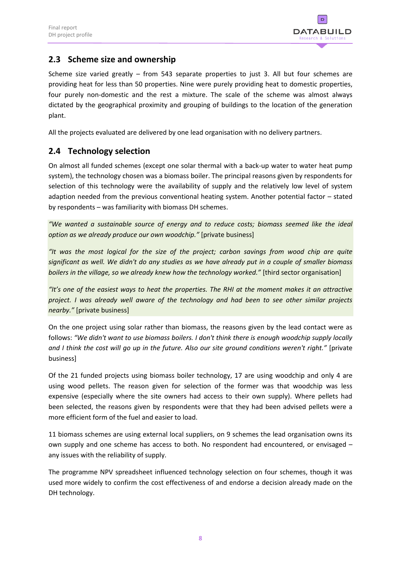

# <span id="page-11-0"></span>**2.3 Scheme size and ownership**

Scheme size varied greatly – from 543 separate properties to just 3. All but four schemes are providing heat for less than 50 properties. Nine were purely providing heat to domestic properties, four purely non-domestic and the rest a mixture. The scale of the scheme was almost always dictated by the geographical proximity and grouping of buildings to the location of the generation plant.

All the projects evaluated are delivered by one lead organisation with no delivery partners.

# <span id="page-11-1"></span>**2.4 Technology selection**

On almost all funded schemes (except one solar thermal with a back-up water to water heat pump system), the technology chosen was a biomass boiler. The principal reasons given by respondents for selection of this technology were the availability of supply and the relatively low level of system adaption needed from the previous conventional heating system. Another potential factor – stated by respondents – was familiarity with biomass DH schemes.

*"We wanted a sustainable source of energy and to reduce costs; biomass seemed like the ideal option as we already produce our own woodchip."* [private business]

*"It was the most logical for the size of the project; carbon savings from wood chip are quite significant as well. We didn't do any studies as we have already put in a couple of smaller biomass boilers in the village, so we already knew how the technology worked."* [third sector organisation]

*"It's one of the easiest ways to heat the properties. The RHI at the moment makes it an attractive project. I was already well aware of the technology and had been to see other similar projects nearby."* [private business]

On the one project using solar rather than biomass, the reasons given by the lead contact were as follows: *"We didn't want to use biomass boilers. I don't think there is enough woodchip supply locally*  and I think the cost will go up in the future. Also our site ground conditions weren't right." [private business]

Of the 21 funded projects using biomass boiler technology, 17 are using woodchip and only 4 are using wood pellets. The reason given for selection of the former was that woodchip was less expensive (especially where the site owners had access to their own supply). Where pellets had been selected, the reasons given by respondents were that they had been advised pellets were a more efficient form of the fuel and easier to load.

11 biomass schemes are using external local suppliers, on 9 schemes the lead organisation owns its own supply and one scheme has access to both. No respondent had encountered, or envisaged – any issues with the reliability of supply.

The programme NPV spreadsheet influenced technology selection on four schemes, though it was used more widely to confirm the cost effectiveness of and endorse a decision already made on the DH technology.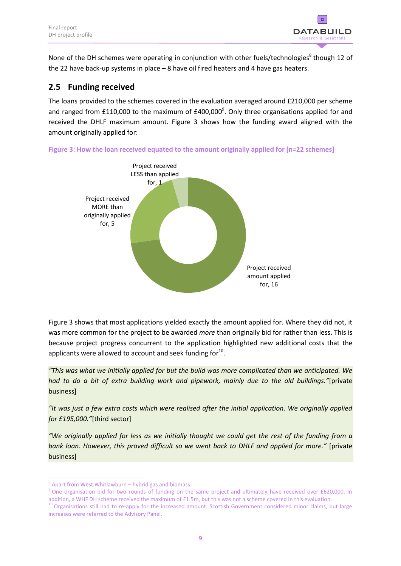

None of the DH schemes were operating in conjunction with other fuels/technologies<sup>8</sup> though 12 of the 22 have back-up systems in place – 8 have oil fired heaters and 4 have gas heaters.

# <span id="page-12-0"></span>**2.5 Funding received**

The loans provided to the schemes covered in the evaluation averaged around £210,000 per scheme and ranged from £110,000 to the maximum of £400,000<sup>9</sup>. Only three organisations applied for and received the DHLF maximum amount. Figure 3 shows how the funding award aligned with the amount originally applied for:



**Figure 3: How the loan received equated to the amount originally applied for [n=22 schemes]**

Figure 3 shows that most applications yielded exactly the amount applied for. Where they did not, it was more common for the project to be awarded *more* than originally bid for rather than less. This is because project progress concurrent to the application highlighted new additional costs that the applicants were allowed to account and seek funding for $^{10}$ .

*"This was what we initially applied for but the build was more complicated than we anticipated. We had to do a bit of extra building work and pipework, mainly due to the old buildings."*[private business]

*"It was just a few extra costs which were realised after the initial application. We originally applied for £195,000."*[third sector]

*"We originally applied for less as we initially thought we could get the rest of the funding from a bank loan. However, this proved difficult so we went back to DHLF and applied for more."* [private business]

1

<sup>&</sup>lt;sup>8</sup> Apart from West Whitlawburn – hybrid gas and biomass.

<sup>&</sup>lt;sup>9</sup> One organisation bid for two rounds of funding on the same project and ultimately have received over £620,000. In addition, a WHF DH scheme received the maximum of £1.5m, but this was not a scheme covered in this evaluation.

<sup>&</sup>lt;sup>10</sup> Organisations still had to re-apply for the increased amount. Scottish Government considered minor claims, but large increases were referred to the Advisory Panel.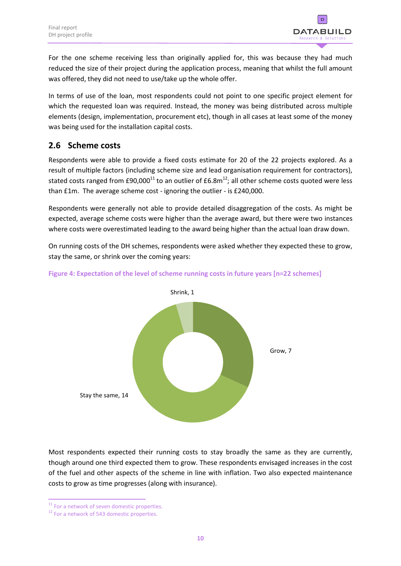

For the one scheme receiving less than originally applied for, this was because they had much reduced the size of their project during the application process, meaning that whilst the full amount was offered, they did not need to use/take up the whole offer.

In terms of use of the loan, most respondents could not point to one specific project element for which the requested loan was required. Instead, the money was being distributed across multiple elements (design, implementation, procurement etc), though in all cases at least some of the money was being used for the installation capital costs.

# <span id="page-13-0"></span>**2.6 Scheme costs**

Respondents were able to provide a fixed costs estimate for 20 of the 22 projects explored. As a result of multiple factors (including scheme size and lead organisation requirement for contractors), stated costs ranged from £90,000<sup>11</sup> to an outlier of £6.8m<sup>12</sup>; all other scheme costs quoted were less than £1m. The average scheme cost - ignoring the outlier - is £240,000.

Respondents were generally not able to provide detailed disaggregation of the costs. As might be expected, average scheme costs were higher than the average award, but there were two instances where costs were overestimated leading to the award being higher than the actual loan draw down.

On running costs of the DH schemes, respondents were asked whether they expected these to grow, stay the same, or shrink over the coming years:



### **Figure 4: Expectation of the level of scheme running costs in future years [n=22 schemes]**

Most respondents expected their running costs to stay broadly the same as they are currently, though around one third expected them to grow. These respondents envisaged increases in the cost of the fuel and other aspects of the scheme in line with inflation. Two also expected maintenance costs to grow as time progresses (along with insurance).

<sup>1</sup> <sup>11</sup> For a network of seven domestic properties.

 $12$  For a network of 543 domestic properties.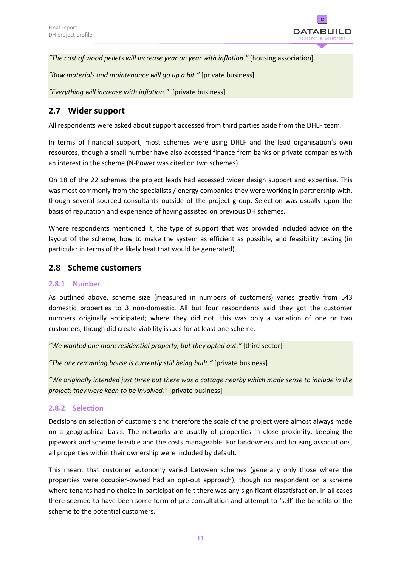

*"The cost of wood pellets will increase year on year with inflation."* [housing association]

*"Raw materials and maintenance will go up a bit."* [private business]

*"Everything will increase with inflation."* [private business]

# <span id="page-14-0"></span>**2.7 Wider support**

All respondents were asked about support accessed from third parties aside from the DHLF team.

In terms of financial support, most schemes were using DHLF and the lead organisation's own resources, though a small number have also accessed finance from banks or private companies with an interest in the scheme (N-Power was cited on two schemes).

On 18 of the 22 schemes the project leads had accessed wider design support and expertise. This was most commonly from the specialists / energy companies they were working in partnership with, though several sourced consultants outside of the project group. Selection was usually upon the basis of reputation and experience of having assisted on previous DH schemes.

Where respondents mentioned it, the type of support that was provided included advice on the layout of the scheme, how to make the system as efficient as possible, and feasibility testing (in particular in terms of the likely heat that would be generated).

### <span id="page-14-1"></span>**2.8 Scheme customers**

### <span id="page-14-2"></span>**2.8.1 Number**

As outlined above, scheme size (measured in numbers of customers) varies greatly from 543 domestic properties to 3 non-domestic. All but four respondents said they got the customer numbers originally anticipated; where they did not, this was only a variation of one or two customers, though did create viability issues for at least one scheme.

*"We wanted one more residential property, but they opted out."* [third sector]

*"The one remaining house is currently still being built."* [private business]

*"We originally intended just three but there was a cottage nearby which made sense to include in the project; they were keen to be involved."* [private business]

### <span id="page-14-3"></span>**2.8.2 Selection**

Decisions on selection of customers and therefore the scale of the project were almost always made on a geographical basis. The networks are usually of properties in close proximity, keeping the pipework and scheme feasible and the costs manageable. For landowners and housing associations, all properties within their ownership were included by default.

This meant that customer autonomy varied between schemes (generally only those where the properties were occupier-owned had an opt-out approach), though no respondent on a scheme where tenants had no choice in participation felt there was any significant dissatisfaction. In all cases there seemed to have been some form of pre-consultation and attempt to 'sell' the benefits of the scheme to the potential customers.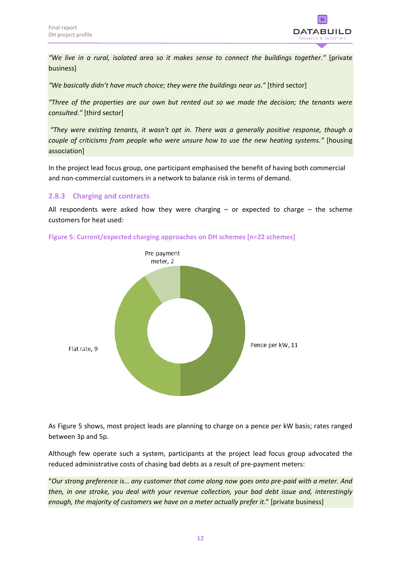

*"We live in a rural, isolated area so it makes sense to connect the buildings together."* [private business]

*"We basically didn't have much choice; they were the buildings near us."* [third sector]

*"Three of the properties are our own but rented out so we made the decision; the tenants were consulted."* [third sector]

*"They were existing tenants, it wasn't opt in. There was a generally positive response, though a couple of criticisms from people who were unsure how to use the new heating systems."* [housing association]

In the project lead focus group, one participant emphasised the benefit of having both commercial and non-commercial customers in a network to balance risk in terms of demand.

### <span id="page-15-0"></span>**2.8.3 Charging and contracts**

All respondents were asked how they were charging  $-$  or expected to charge  $-$  the scheme customers for heat used:





As Figure 5 shows, most project leads are planning to charge on a pence per kW basis; rates ranged between 3p and 5p.

Although few operate such a system, participants at the project lead focus group advocated the reduced administrative costs of chasing bad debts as a result of pre-payment meters:

"*Our strong preference is… any customer that come along now goes onto pre-paid with a meter. And then, in one stroke, you deal with your revenue collection, your bad debt issue and, interestingly enough, the majority of customers we have on a meter actually prefer it*." [private business]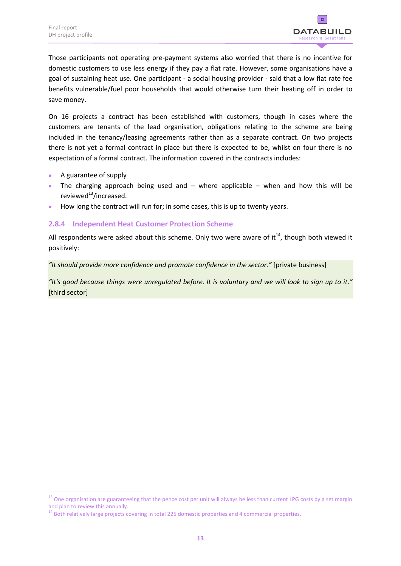

Those participants not operating pre-payment systems also worried that there is no incentive for domestic customers to use less energy if they pay a flat rate. However, some organisations have a goal of sustaining heat use. One participant - a social housing provider - said that a low flat rate fee benefits vulnerable/fuel poor households that would otherwise turn their heating off in order to save money.

On 16 projects a contract has been established with customers, though in cases where the customers are tenants of the lead organisation, obligations relating to the scheme are being included in the tenancy/leasing agreements rather than as a separate contract. On two projects there is not yet a formal contract in place but there is expected to be, whilst on four there is no expectation of a formal contract. The information covered in the contracts includes:

A guarantee of supply

 $\overline{a}$ 

- The charging approach being used and  $-$  where applicable  $-$  when and how this will be reviewed $^{13}$ /increased.
- How long the contract will run for; in some cases, this is up to twenty years.

### <span id="page-16-0"></span>**2.8.4 Independent Heat Customer Protection Scheme**

All respondents were asked about this scheme. Only two were aware of it<sup>14</sup>, though both viewed it positively:

*"It should provide more confidence and promote confidence in the sector."* [private business]

*"It's good because things were unregulated before. It is voluntary and we will look to sign up to it."* [third sector]

 $^{13}$  One organisation are guaranteeing that the pence cost per unit will always be less than current LPG costs by a set margin and plan to review this annually.

<sup>&</sup>lt;sup>14</sup> Both relatively large projects covering in total 225 domestic properties and 4 commercial properties.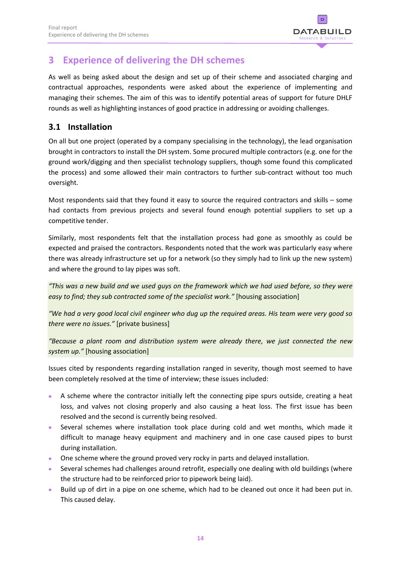

# <span id="page-17-0"></span>**3 Experience of delivering the DH schemes**

As well as being asked about the design and set up of their scheme and associated charging and contractual approaches, respondents were asked about the experience of implementing and managing their schemes. The aim of this was to identify potential areas of support for future DHLF rounds as well as highlighting instances of good practice in addressing or avoiding challenges.

# <span id="page-17-1"></span>**3.1 Installation**

On all but one project (operated by a company specialising in the technology), the lead organisation brought in contractors to install the DH system. Some procured multiple contractors (e.g. one for the ground work/digging and then specialist technology suppliers, though some found this complicated the process) and some allowed their main contractors to further sub-contract without too much oversight.

Most respondents said that they found it easy to source the required contractors and skills – some had contacts from previous projects and several found enough potential suppliers to set up a competitive tender.

Similarly, most respondents felt that the installation process had gone as smoothly as could be expected and praised the contractors. Respondents noted that the work was particularly easy where there was already infrastructure set up for a network (so they simply had to link up the new system) and where the ground to lay pipes was soft.

*"This was a new build and we used guys on the framework which we had used before, so they were easy to find; they sub contracted some of the specialist work."* [housing association]

*"We had a very good local civil engineer who dug up the required areas. His team were very good so there were no issues."* [private business]

*"Because a plant room and distribution system were already there, we just connected the new system up."* [housing association]

Issues cited by respondents regarding installation ranged in severity, though most seemed to have been completely resolved at the time of interview; these issues included:

- A scheme where the contractor initially left the connecting pipe spurs outside, creating a heat loss, and valves not closing properly and also causing a heat loss. The first issue has been resolved and the second is currently being resolved.
- Several schemes where installation took place during cold and wet months, which made it difficult to manage heavy equipment and machinery and in one case caused pipes to burst during installation.
- **•** One scheme where the ground proved very rocky in parts and delayed installation.
- Several schemes had challenges around retrofit, especially one dealing with old buildings (where the structure had to be reinforced prior to pipework being laid).
- Build up of dirt in a pipe on one scheme, which had to be cleaned out once it had been put in. This caused delay.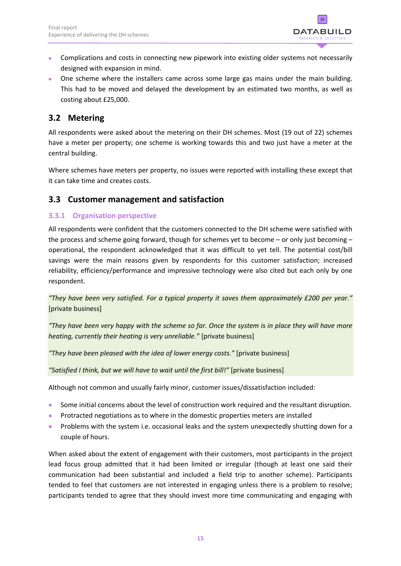

- Complications and costs in connecting new pipework into existing older systems not necessarily designed with expansion in mind.
- One scheme where the installers came across some large gas mains under the main building. This had to be moved and delayed the development by an estimated two months, as well as costing about £25,000.

# <span id="page-18-0"></span>**3.2 Metering**

All respondents were asked about the metering on their DH schemes. Most (19 out of 22) schemes have a meter per property; one scheme is working towards this and two just have a meter at the central building.

Where schemes have meters per property, no issues were reported with installing these except that it can take time and creates costs.

### <span id="page-18-1"></span>**3.3 Customer management and satisfaction**

### <span id="page-18-2"></span>**3.3.1 Organisation perspective**

All respondents were confident that the customers connected to the DH scheme were satisfied with the process and scheme going forward, though for schemes yet to become – or only just becoming – operational, the respondent acknowledged that it was difficult to yet tell. The potential cost/bill savings were the main reasons given by respondents for this customer satisfaction; increased reliability, efficiency/performance and impressive technology were also cited but each only by one respondent.

*"They have been very satisfied. For a typical property it saves them approximately £200 per year."* [private business]

*"They have been very happy with the scheme so far. Once the system is in place they will have more heating, currently their heating is very unreliable."* [private business]

*"They have been pleased with the idea of lower energy costs."* [private business]

*"Satisfied I think, but we will have to wait until the first bill!"* [private business]

Although not common and usually fairly minor, customer issues/dissatisfaction included:

- Some initial concerns about the level of construction work required and the resultant disruption.
- **•** Protracted negotiations as to where in the domestic properties meters are installed
- **•** Problems with the system i.e. occasional leaks and the system unexpectedly shutting down for a couple of hours.

When asked about the extent of engagement with their customers, most participants in the project lead focus group admitted that it had been limited or irregular (though at least one said their communication had been substantial and included a field trip to another scheme). Participants tended to feel that customers are not interested in engaging unless there is a problem to resolve; participants tended to agree that they should invest more time communicating and engaging with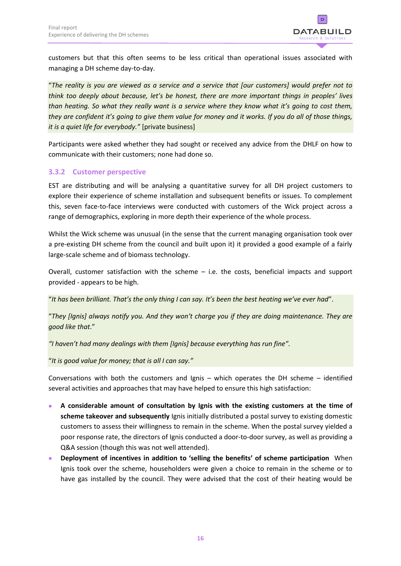

customers but that this often seems to be less critical than operational issues associated with managing a DH scheme day-to-day.

"*The reality is you are viewed as a service and a service that [our customers] would prefer not to think too deeply about because, let's be honest, there are more important things in peoples' lives than heating. So what they really want is a service where they know what it's going to cost them, they are confident it's going to give them value for money and it works. If you do all of those things, it is a quiet life for everybody."* [private business]

Participants were asked whether they had sought or received any advice from the DHLF on how to communicate with their customers; none had done so.

### <span id="page-19-0"></span>**3.3.2 Customer perspective**

EST are distributing and will be analysing a quantitative survey for all DH project customers to explore their experience of scheme installation and subsequent benefits or issues. To complement this, seven face-to-face interviews were conducted with customers of the Wick project across a range of demographics, exploring in more depth their experience of the whole process.

Whilst the Wick scheme was unusual (in the sense that the current managing organisation took over a pre-existing DH scheme from the council and built upon it) it provided a good example of a fairly large-scale scheme and of biomass technology.

Overall, customer satisfaction with the scheme – i.e. the costs, beneficial impacts and support provided - appears to be high.

"*It has been brilliant. That's the only thing I can say. It's been the best heating we've ever had*".

"*They [Ignis] always notify you. And they won't charge you if they are doing maintenance. They are good like that*."

*"I haven't had many dealings with them [Ignis] because everything has run fine".*

"*It is good value for money; that is all I can say."*

Conversations with both the customers and Ignis – which operates the DH scheme – identified several activities and approaches that may have helped to ensure this high satisfaction:

- **A considerable amount of consultation by Ignis with the existing customers at the time of scheme takeover and subsequently** Ignis initially distributed a postal survey to existing domestic customers to assess their willingness to remain in the scheme. When the postal survey yielded a poor response rate, the directors of Ignis conducted a door-to-door survey, as well as providing a Q&A session (though this was not well attended).
- **Deployment of incentives in addition to 'selling the benefits' of scheme participation** When Ignis took over the scheme, householders were given a choice to remain in the scheme or to have gas installed by the council. They were advised that the cost of their heating would be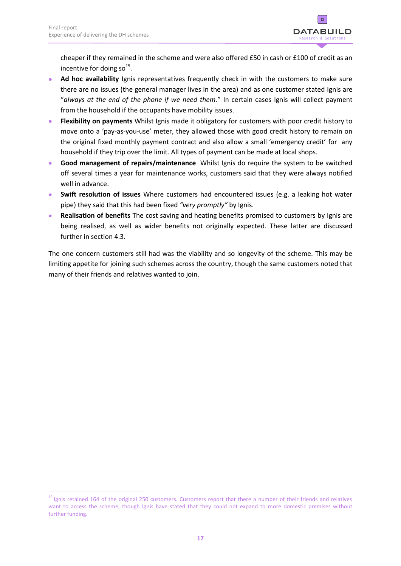

cheaper if they remained in the scheme and were also offered £50 in cash or £100 of credit as an incentive for doing so<sup>15</sup>.

- **Ad hoc availability** Ignis representatives frequently check in with the customers to make sure there are no issues (the general manager lives in the area) and as one customer stated Ignis are "*always at the end of the phone if we need them.*" In certain cases Ignis will collect payment from the household if the occupants have mobility issues.
- **Flexibility on payments** Whilst Ignis made it obligatory for customers with poor credit history to move onto a 'pay-as-you-use' meter, they allowed those with good credit history to remain on the original fixed monthly payment contract and also allow a small 'emergency credit' for any household if they trip over the limit. All types of payment can be made at local shops.
- **Good management of repairs/maintenance** Whilst Ignis do require the system to be switched off several times a year for maintenance works, customers said that they were always notified well in advance.
- **Swift resolution of issues** Where customers had encountered issues (e.g. a leaking hot water pipe) they said that this had been fixed *"very promptly"* by Ignis.
- **Realisation of benefits** The cost saving and heating benefits promised to customers by Ignis are being realised, as well as wider benefits not originally expected. These latter are discussed further in section 4.3.

The one concern customers still had was the viability and so longevity of the scheme. This may be limiting appetite for joining such schemes across the country, though the same customers noted that many of their friends and relatives wanted to join.

 $\overline{a}$ <sup>15</sup> Ignis retained 164 of the original 250 customers. Customers report that there a number of their friends and relatives want to access the scheme, though Ignis have stated that they could not expand to more domestic premises without further funding.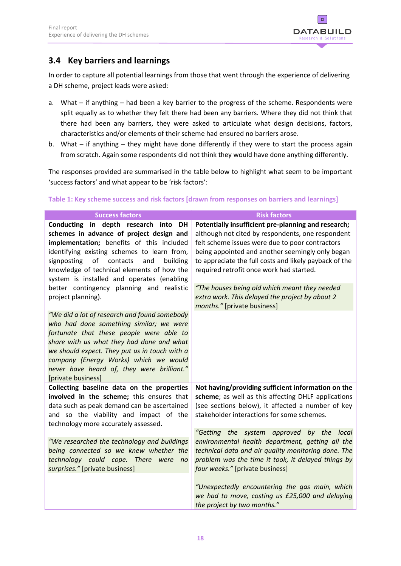

# <span id="page-21-0"></span>**3.4 Key barriers and learnings**

In order to capture all potential learnings from those that went through the experience of delivering a DH scheme, project leads were asked:

- a. What if anything had been a key barrier to the progress of the scheme. Respondents were split equally as to whether they felt there had been any barriers. Where they did not think that there had been any barriers, they were asked to articulate what design decisions, factors, characteristics and/or elements of their scheme had ensured no barriers arose.
- b. What if anything they might have done differently if they were to start the process again from scratch. Again some respondents did not think they would have done anything differently.

The responses provided are summarised in the table below to highlight what seem to be important 'success factors' and what appear to be 'risk factors':

| <b>Success factors</b>                                                                                                                                                                                                                                                                                                                                                                       | <b>Risk factors</b>                                                                                                                                                                                                                                                                                                                                                                                                                                      |  |
|----------------------------------------------------------------------------------------------------------------------------------------------------------------------------------------------------------------------------------------------------------------------------------------------------------------------------------------------------------------------------------------------|----------------------------------------------------------------------------------------------------------------------------------------------------------------------------------------------------------------------------------------------------------------------------------------------------------------------------------------------------------------------------------------------------------------------------------------------------------|--|
| Conducting in depth research into DH<br>schemes in advance of project design and<br>implementation; benefits of this included<br>identifying existing schemes to learn from,<br>signposting<br>of contacts<br>and<br>building<br>knowledge of technical elements of how the<br>system is installed and operates (enabling<br>better contingency planning and realistic<br>project planning). | Potentially insufficient pre-planning and research;<br>although not cited by respondents, one respondent<br>felt scheme issues were due to poor contractors<br>being appointed and another seemingly only began<br>to appreciate the full costs and likely payback of the<br>required retrofit once work had started.<br>"The houses being old which meant they needed<br>extra work. This delayed the project by about 2<br>months." [private business] |  |
| "We did a lot of research and found somebody<br>who had done something similar; we were<br>fortunate that these people were able to<br>share with us what they had done and what<br>we should expect. They put us in touch with a<br>company (Energy Works) which we would<br>never have heard of, they were brilliant."<br>[private business]                                               |                                                                                                                                                                                                                                                                                                                                                                                                                                                          |  |
| Collecting baseline data on the properties<br>involved in the scheme; this ensures that<br>data such as peak demand can be ascertained<br>and so the viability and impact of the<br>technology more accurately assessed.                                                                                                                                                                     | Not having/providing sufficient information on the<br>scheme; as well as this affecting DHLF applications<br>(see sections below), it affected a number of key<br>stakeholder interactions for some schemes.                                                                                                                                                                                                                                             |  |
| "We researched the technology and buildings<br>being connected so we knew whether the<br>technology could cope. There were<br>no<br>surprises." [private business]                                                                                                                                                                                                                           | "Getting the system approved by the local<br>environmental health department, getting all the<br>technical data and air quality monitoring done. The<br>problem was the time it took, it delayed things by<br>four weeks." [private business]                                                                                                                                                                                                            |  |
|                                                                                                                                                                                                                                                                                                                                                                                              | "Unexpectedly encountering the gas main, which<br>we had to move, costing us £25,000 and delaying<br>the project by two months."                                                                                                                                                                                                                                                                                                                         |  |

### **Table 1: Key scheme success and risk factors [drawn from responses on barriers and learnings]**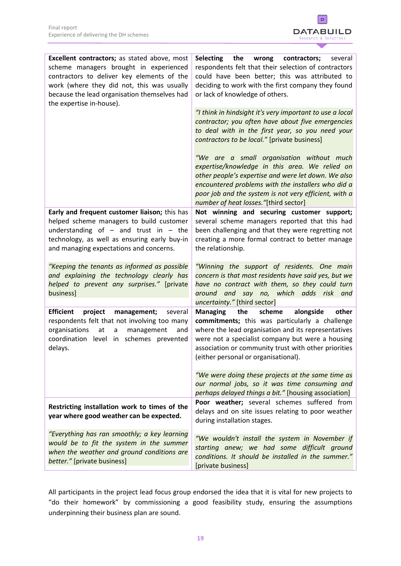

| <b>Excellent contractors;</b> as stated above, most<br>scheme managers brought in experienced<br>contractors to deliver key elements of the<br>work (where they did not, this was usually<br>because the lead organisation themselves had<br>the expertise in-house). | the<br><b>Selecting</b><br>wrong<br>contractors;<br>several<br>respondents felt that their selection of contractors<br>could have been better; this was attributed to<br>deciding to work with the first company they found<br>or lack of knowledge of others.                                             |
|-----------------------------------------------------------------------------------------------------------------------------------------------------------------------------------------------------------------------------------------------------------------------|------------------------------------------------------------------------------------------------------------------------------------------------------------------------------------------------------------------------------------------------------------------------------------------------------------|
|                                                                                                                                                                                                                                                                       | "I think in hindsight it's very important to use a local<br>contractor; you often have about five emergencies<br>to deal with in the first year, so you need your<br>contractors to be local." [private business]                                                                                          |
|                                                                                                                                                                                                                                                                       | "We are a small organisation without much<br>expertise/knowledge in this area. We relied on<br>other people's expertise and were let down. We also<br>encountered problems with the installers who did a<br>poor job and the system is not very efficient, with a<br>number of heat losses."[third sector] |
| Early and frequent customer liaison; this has<br>helped scheme managers to build customer<br>understanding of $-$ and trust in $-$ the<br>technology, as well as ensuring early buy-in<br>and managing expectations and concerns.                                     | Not winning and securing customer support;<br>several scheme managers reported that this had<br>been challenging and that they were regretting not<br>creating a more formal contract to better manage<br>the relationship.                                                                                |
| "Keeping the tenants as informed as possible<br>and explaining the technology clearly has<br>helped to prevent any surprises." [private<br>business]                                                                                                                  | "Winning the support of residents. One main<br>concern is that most residents have said yes, but we<br>have no contract with them, so they could turn<br>around and say no, which adds risk<br>and<br>uncertainty." [third sector]                                                                         |
|                                                                                                                                                                                                                                                                       | scheme                                                                                                                                                                                                                                                                                                     |
| <b>Efficient</b><br>project<br>management;<br>several<br>respondents felt that not involving too many<br>organisations<br>at<br>management<br>a<br>and<br>coordination level in schemes prevented<br>delays.                                                          | <b>Managing</b><br>the<br>alongside<br>other<br>commitments; this was particularly a challenge<br>where the lead organisation and its representatives<br>were not a specialist company but were a housing<br>association or community trust with other priorities<br>(either personal or organisational).  |
|                                                                                                                                                                                                                                                                       | "We were doing these projects at the same time as<br>our normal jobs, so it was time consuming and<br>perhaps delayed things a bit." [housing association]                                                                                                                                                 |
| Restricting installation work to times of the<br>year where good weather can be expected.                                                                                                                                                                             | Poor weather; several schemes suffered from<br>delays and on site issues relating to poor weather<br>during installation stages.                                                                                                                                                                           |
| "Everything has ran smoothly; a key learning<br>would be to fit the system in the summer<br>when the weather and ground conditions are<br>better." [private business]                                                                                                 | "We wouldn't install the system in November if<br>starting anew; we had some difficult ground<br>conditions. It should be installed in the summer."<br>[private business]                                                                                                                                  |

All participants in the project lead focus group endorsed the idea that it is vital for new projects to "do their homework" by commissioning a good feasibility study, ensuring the assumptions underpinning their business plan are sound.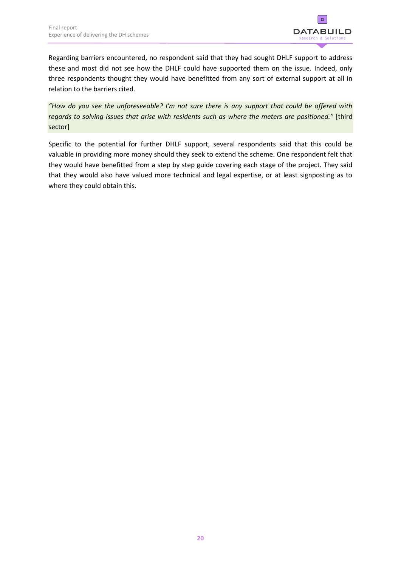

Regarding barriers encountered, no respondent said that they had sought DHLF support to address these and most did not see how the DHLF could have supported them on the issue. Indeed, only three respondents thought they would have benefitted from any sort of external support at all in relation to the barriers cited.

*"How do you see the unforeseeable? I'm not sure there is any support that could be offered with regards to solving issues that arise with residents such as where the meters are positioned."* [third sector]

Specific to the potential for further DHLF support, several respondents said that this could be valuable in providing more money should they seek to extend the scheme. One respondent felt that they would have benefitted from a step by step guide covering each stage of the project. They said that they would also have valued more technical and legal expertise, or at least signposting as to where they could obtain this.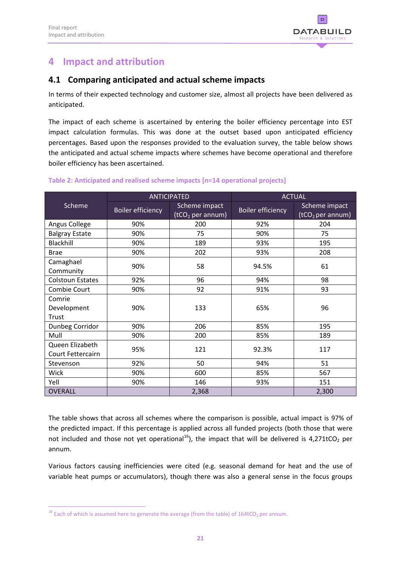

# <span id="page-24-0"></span>**4 Impact and attribution**

### <span id="page-24-1"></span>**4.1 Comparing anticipated and actual scheme impacts**

In terms of their expected technology and customer size, almost all projects have been delivered as anticipated.

The impact of each scheme is ascertained by entering the boiler efficiency percentage into EST impact calculation formulas. This was done at the outset based upon anticipated efficiency percentages. Based upon the responses provided to the evaluation survey, the table below shows the anticipated and actual scheme impacts where schemes have become operational and therefore boiler efficiency has been ascertained.

|                                      | <b>ANTICIPATED</b>       |                                     | <b>ACTUAL</b>            |                                               |
|--------------------------------------|--------------------------|-------------------------------------|--------------------------|-----------------------------------------------|
| Scheme                               | <b>Boiler efficiency</b> | Scheme impact<br>$(tCO2$ per annum) | <b>Boiler efficiency</b> | Scheme impact<br>(tCO <sub>2</sub> per annum) |
| Angus College                        | 90%                      | 200                                 | 92%                      | 204                                           |
| <b>Balgray Estate</b>                | 90%                      | 75                                  | 90%                      | 75                                            |
| Blackhill                            | 90%                      | 189                                 | 93%                      | 195                                           |
| <b>Brae</b>                          | 90%                      | 202                                 | 93%                      | 208                                           |
| Camaghael<br>Community               | 90%                      | 58                                  | 94.5%                    | 61                                            |
| <b>Colstoun Estates</b>              | 92%                      | 96                                  | 94%                      | 98                                            |
| Combie Court                         | 90%                      | 92                                  | 91%                      | 93                                            |
| Comrie<br>Development<br>Trust       | 90%                      | 133                                 | 65%                      | 96                                            |
| Dunbeg Corridor                      | 90%                      | 206                                 | 85%                      | 195                                           |
| Mull                                 | 90%                      | 200                                 | 85%                      | 189                                           |
| Queen Elizabeth<br>Court Fettercairn | 95%                      | 121                                 | 92.3%                    | 117                                           |
| Stevenson                            | 92%                      | 50                                  | 94%                      | 51                                            |
| Wick                                 | 90%                      | 600                                 | 85%                      | 567                                           |
| Yell                                 | 90%                      | 146                                 | 93%                      | 151                                           |
| OVERALL                              |                          | 2,368                               |                          | 2,300                                         |

### **Table 2: Anticipated and realised scheme impacts [n=14 operational projects]**

The table shows that across all schemes where the comparison is possible, actual impact is 97% of the predicted impact. If this percentage is applied across all funded projects (both those that were not included and those not yet operational<sup>16</sup>), the impact that will be delivered is 4,271tCO<sub>2</sub> per annum.

Various factors causing inefficiencies were cited (e.g. seasonal demand for heat and the use of variable heat pumps or accumulators), though there was also a general sense in the focus groups

1

<sup>&</sup>lt;sup>16</sup> Each of which is assumed here to generate the average (from the table) of 164tCO<sub>2</sub> per annum.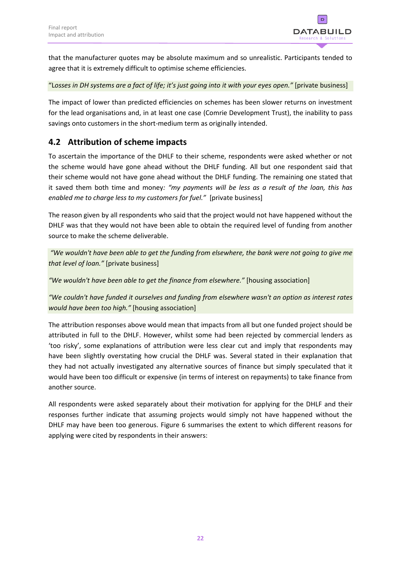

that the manufacturer quotes may be absolute maximum and so unrealistic. Participants tended to agree that it is extremely difficult to optimise scheme efficiencies.

### "L*osses in DH systems are a fact of life; it's just going into it with your eyes open."* [private business]

The impact of lower than predicted efficiencies on schemes has been slower returns on investment for the lead organisations and, in at least one case (Comrie Development Trust), the inability to pass savings onto customers in the short-medium term as originally intended.

### <span id="page-25-0"></span>**4.2 Attribution of scheme impacts**

To ascertain the importance of the DHLF to their scheme, respondents were asked whether or not the scheme would have gone ahead without the DHLF funding. All but one respondent said that their scheme would not have gone ahead without the DHLF funding. The remaining one stated that it saved them both time and money*: "my payments will be less as a result of the loan, this has enabled me to charge less to my customers for fuel."* [private business]

The reason given by all respondents who said that the project would not have happened without the DHLF was that they would not have been able to obtain the required level of funding from another source to make the scheme deliverable.

*"We wouldn't have been able to get the funding from elsewhere, the bank were not going to give me that level of loan."* [private business]

*"We wouldn't have been able to get the finance from elsewhere."* [housing association]

*"We couldn't have funded it ourselves and funding from elsewhere wasn't an option as interest rates would have been too high."* [housing association]

The attribution responses above would mean that impacts from all but one funded project should be attributed in full to the DHLF. However, whilst some had been rejected by commercial lenders as 'too risky', some explanations of attribution were less clear cut and imply that respondents may have been slightly overstating how crucial the DHLF was. Several stated in their explanation that they had not actually investigated any alternative sources of finance but simply speculated that it would have been too difficult or expensive (in terms of interest on repayments) to take finance from another source.

All respondents were asked separately about their motivation for applying for the DHLF and their responses further indicate that assuming projects would simply not have happened without the DHLF may have been too generous. Figure 6 summarises the extent to which different reasons for applying were cited by respondents in their answers: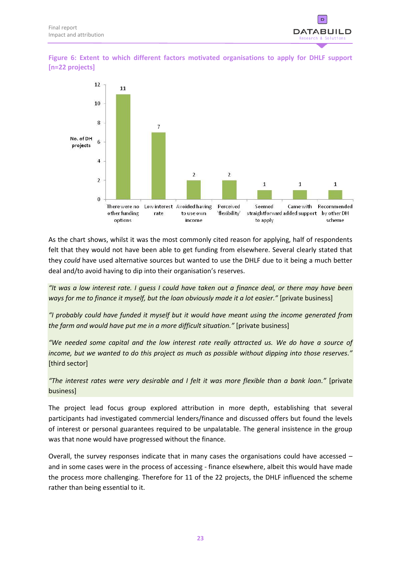

**Figure 6: Extent to which different factors motivated organisations to apply for DHLF support [n=22 projects]**



As the chart shows, whilst it was the most commonly cited reason for applying, half of respondents felt that they would not have been able to get funding from elsewhere. Several clearly stated that they *could* have used alternative sources but wanted to use the DHLF due to it being a much better deal and/to avoid having to dip into their organisation's reserves.

*"It was a low interest rate. I guess I could have taken out a finance deal, or there may have been ways for me to finance it myself, but the loan obviously made it a lot easier."* [private business]

*"I probably could have funded it myself but it would have meant using the income generated from the farm and would have put me in a more difficult situation."* [private business]

*"We needed some capital and the low interest rate really attracted us. We do have a source of income, but we wanted to do this project as much as possible without dipping into those reserves."* [third sector]

*"The interest rates were very desirable and I felt it was more flexible than a bank loan."* [private business]

The project lead focus group explored attribution in more depth, establishing that several participants had investigated commercial lenders/finance and discussed offers but found the levels of interest or personal guarantees required to be unpalatable. The general insistence in the group was that none would have progressed without the finance.

Overall, the survey responses indicate that in many cases the organisations could have accessed – and in some cases were in the process of accessing - finance elsewhere, albeit this would have made the process more challenging. Therefore for 11 of the 22 projects, the DHLF influenced the scheme rather than being essential to it.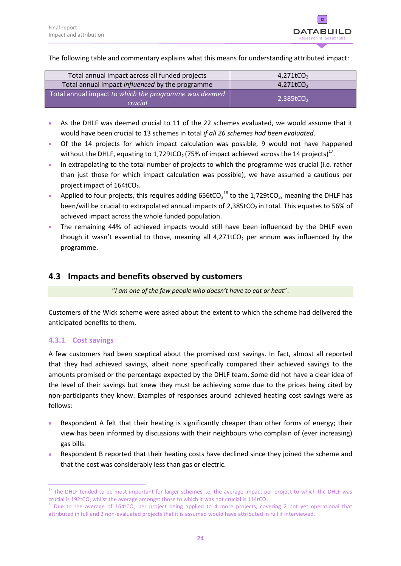

The following table and commentary explains what this means for understanding attributed impact:

| Total annual impact across all funded projects                   | $4,271$ tCO <sub>2</sub> |
|------------------------------------------------------------------|--------------------------|
| Total annual impact influenced by the programme                  | $4,271$ tCO <sub>2</sub> |
| Total annual impact to which the programme was deemed<br>crucial | $2.385$ t $CO2$          |

- As the DHLF was deemed crucial to 11 of the 22 schemes evaluated, we would assume that it would have been crucial to 13 schemes in total *if all 26 schemes had been evaluated*.
- Of the 14 projects for which impact calculation was possible, 9 would not have happened without the DHLF, equating to 1,729tCO<sub>2</sub> (75% of impact achieved across the 14 projects)<sup>17</sup>.
- In extrapolating to the total number of projects to which the programme was crucial (i.e. rather than just those for which impact calculation was possible), we have assumed a cautious per project impact of  $164$ tCO<sub>2</sub>.
- Applied to four projects, this requires adding  $656$ tCO<sub>2</sub><sup>18</sup> to the 1,729tCO<sub>2</sub>, meaning the DHLF has been/will be crucial to extrapolated annual impacts of  $2,385$ tCO<sub>2</sub> in total. This equates to 56% of achieved impact across the whole funded population.
- The remaining 44% of achieved impacts would still have been influenced by the DHLF even though it wasn't essential to those, meaning all  $4,271tCO<sub>2</sub>$  per annum was influenced by the programme.

### <span id="page-27-0"></span>**4.3 Impacts and benefits observed by customers**

"*I am one of the few people who doesn't have to eat or heat*".

Customers of the Wick scheme were asked about the extent to which the scheme had delivered the anticipated benefits to them.

### <span id="page-27-1"></span>**4.3.1 Cost savings**

 $\overline{a}$ 

A few customers had been sceptical about the promised cost savings. In fact, almost all reported that they had achieved savings, albeit none specifically compared their achieved savings to the amounts promised or the percentage expected by the DHLF team. Some did not have a clear idea of the level of their savings but knew they must be achieving some due to the prices being cited by non-participants they know. Examples of responses around achieved heating cost savings were as follows:

- Respondent A felt that their heating is significantly cheaper than other forms of energy; their view has been informed by discussions with their neighbours who complain of (ever increasing) gas bills.
- Respondent B reported that their heating costs have declined since they joined the scheme and that the cost was considerably less than gas or electric.

<sup>&</sup>lt;sup>17</sup> The DHLF tended to be most important for larger schemes i.e. the average impact per project to which the DHLF was crucial is 192tCO<sub>2</sub> whilst the average amongst those to which it was not crucial is 114tCO<sub>2</sub>.

 $18$  Due to the average of 164tCO<sub>2</sub> per project being applied to 4 more projects, covering 2 not yet operational that attributed in full and 2 non-evaluated projects that it is assumed would have attributed in full if interviewed.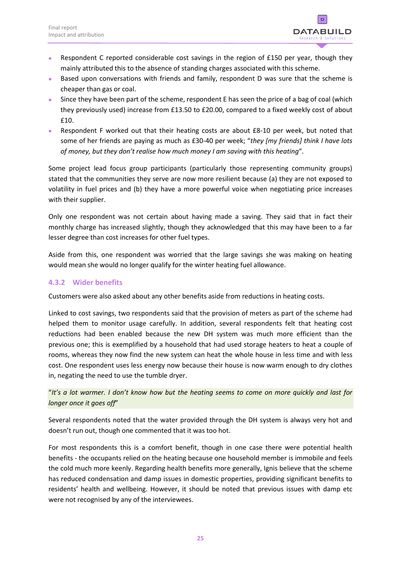

- Respondent C reported considerable cost savings in the region of £150 per year, though they mainly attributed this to the absence of standing charges associated with this scheme.
- Based upon conversations with friends and family, respondent D was sure that the scheme is cheaper than gas or coal.
- Since they have been part of the scheme, respondent E has seen the price of a bag of coal (which they previously used) increase from £13.50 to £20.00, compared to a fixed weekly cost of about £10.
- Respondent F worked out that their heating costs are about £8-10 per week, but noted that some of her friends are paying as much as £30-40 per week; "*they [my friends] think I have lots of money, but they don't realise how much money I am saving with this heating*".

Some project lead focus group participants (particularly those representing community groups) stated that the communities they serve are now more resilient because (a) they are not exposed to volatility in fuel prices and (b) they have a more powerful voice when negotiating price increases with their supplier.

Only one respondent was not certain about having made a saving. They said that in fact their monthly charge has increased slightly, though they acknowledged that this may have been to a far lesser degree than cost increases for other fuel types.

Aside from this, one respondent was worried that the large savings she was making on heating would mean she would no longer qualify for the winter heating fuel allowance.

### <span id="page-28-0"></span>**4.3.2 Wider benefits**

Customers were also asked about any other benefits aside from reductions in heating costs.

Linked to cost savings, two respondents said that the provision of meters as part of the scheme had helped them to monitor usage carefully. In addition, several respondents felt that heating cost reductions had been enabled because the new DH system was much more efficient than the previous one; this is exemplified by a household that had used storage heaters to heat a couple of rooms, whereas they now find the new system can heat the whole house in less time and with less cost. One respondent uses less energy now because their house is now warm enough to dry clothes in, negating the need to use the tumble dryer.

"*It's a lot warmer. I don't know how but the heating seems to come on more quickly and last for longer once it goes off*"

Several respondents noted that the water provided through the DH system is always very hot and doesn't run out, though one commented that it was too hot.

For most respondents this is a comfort benefit, though in one case there were potential health benefits - the occupants relied on the heating because one household member is immobile and feels the cold much more keenly. Regarding health benefits more generally, Ignis believe that the scheme has reduced condensation and damp issues in domestic properties, providing significant benefits to residents' health and wellbeing. However, it should be noted that previous issues with damp etc were not recognised by any of the interviewees.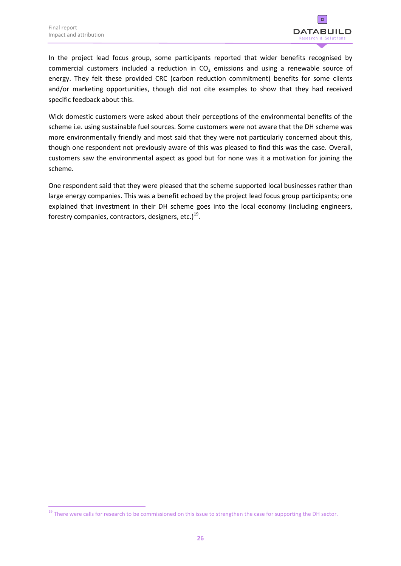1



In the project lead focus group, some participants reported that wider benefits recognised by commercial customers included a reduction in  $CO<sub>2</sub>$  emissions and using a renewable source of energy. They felt these provided CRC (carbon reduction commitment) benefits for some clients and/or marketing opportunities, though did not cite examples to show that they had received specific feedback about this.

Wick domestic customers were asked about their perceptions of the environmental benefits of the scheme i.e. using sustainable fuel sources. Some customers were not aware that the DH scheme was more environmentally friendly and most said that they were not particularly concerned about this, though one respondent not previously aware of this was pleased to find this was the case. Overall, customers saw the environmental aspect as good but for none was it a motivation for joining the scheme.

One respondent said that they were pleased that the scheme supported local businesses rather than large energy companies. This was a benefit echoed by the project lead focus group participants; one explained that investment in their DH scheme goes into the local economy (including engineers, forestry companies, contractors, designers, etc.)<sup>19</sup>.

<sup>&</sup>lt;sup>19</sup> There were calls for research to be commissioned on this issue to strengthen the case for supporting the DH sector.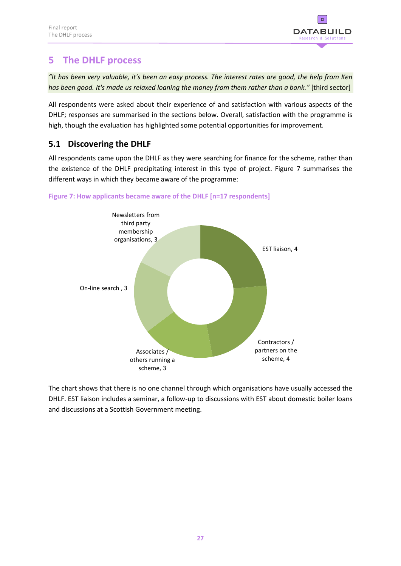

# <span id="page-30-0"></span>**5 The DHLF process**

*"It has been very valuable, it's been an easy process. The interest rates are good, the help from Ken has been good. It's made us relaxed loaning the money from them rather than a bank."* [third sector]

All respondents were asked about their experience of and satisfaction with various aspects of the DHLF; responses are summarised in the sections below. Overall, satisfaction with the programme is high, though the evaluation has highlighted some potential opportunities for improvement.

# <span id="page-30-1"></span>**5.1 Discovering the DHLF**

All respondents came upon the DHLF as they were searching for finance for the scheme, rather than the existence of the DHLF precipitating interest in this type of project. Figure 7 summarises the different ways in which they became aware of the programme:



**Figure 7: How applicants became aware of the DHLF [n=17 respondents]**

The chart shows that there is no one channel through which organisations have usually accessed the DHLF. EST liaison includes a seminar, a follow-up to discussions with EST about domestic boiler loans and discussions at a Scottish Government meeting.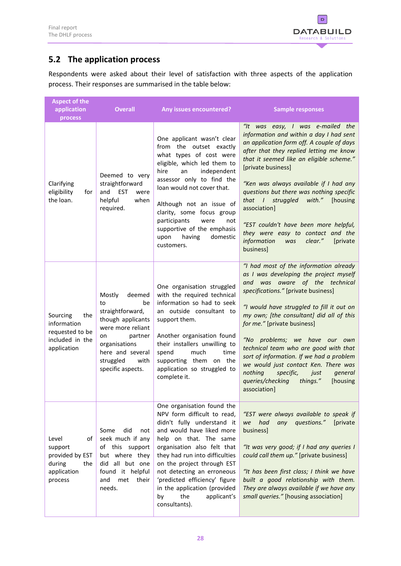

# <span id="page-31-0"></span>**5.2 The application process**

Respondents were asked about their level of satisfaction with three aspects of the application process. Their responses are summarised in the table below:

| <b>Aspect of the</b><br>application<br>process                                       | <b>Overall</b>                                                                                                                                                                             | <b>Any issues encountered?</b>                                                                                                                                                                                                                                                                                                                                                            | <b>Sample responses</b>                                                                                                                                                                                                                                                                                                                                                                                                                                                                                                                                |
|--------------------------------------------------------------------------------------|--------------------------------------------------------------------------------------------------------------------------------------------------------------------------------------------|-------------------------------------------------------------------------------------------------------------------------------------------------------------------------------------------------------------------------------------------------------------------------------------------------------------------------------------------------------------------------------------------|--------------------------------------------------------------------------------------------------------------------------------------------------------------------------------------------------------------------------------------------------------------------------------------------------------------------------------------------------------------------------------------------------------------------------------------------------------------------------------------------------------------------------------------------------------|
| Clarifying<br>eligibility<br>for<br>the loan.                                        | Deemed to very<br>straightforward<br>and EST<br>were<br>helpful<br>when<br>required.                                                                                                       | One applicant wasn't clear<br>from the outset exactly<br>what types of cost were<br>eligible, which led them to<br>independent<br>hire<br>an<br>assessor only to find the<br>loan would not cover that.<br>Although not an issue of<br>clarity, some focus group<br>participants<br>were<br>not<br>supportive of the emphasis<br>domestic<br>upon<br>having<br>customers.                 | "It was easy, I was e-mailed the<br>information and within a day I had sent<br>an application form off. A couple of days<br>after that they replied letting me know<br>that it seemed like an eligible scheme."<br>[private business]<br>"Ken was always available if I had any<br>questions but there was nothing specific<br>that I struggled<br>with."<br>[housing<br>association]<br>"EST couldn't have been more helpful,<br>they were easy to contact and the<br>information<br>was<br>clear."<br>[private<br>business]                          |
| Sourcing<br>the<br>information<br>requested to be<br>included in the<br>application  | Mostly<br>deemed<br>to<br>be<br>straightforward,<br>though applicants<br>were more reliant<br>partner<br>on<br>organisations<br>here and several<br>struggled<br>with<br>specific aspects. | One organisation struggled<br>with the required technical<br>information so had to seek<br>an outside consultant to<br>support them.<br>Another organisation found<br>their installers unwilling to<br>much<br>time<br>spend<br>supporting them on the<br>application so struggled to<br>complete it.                                                                                     | "I had most of the information already<br>as I was developing the project myself<br>and was aware of the technical<br>specifications." [private business]<br>"I would have struggled to fill it out on<br>my own; [the consultant] did all of this<br>for me." [private business]<br>"No problems; we have our own<br>technical team who are good with that<br>sort of information. If we had a problem<br>we would just contact Ken. There was<br>nothing<br>specific,<br>just<br>general<br>queries/checking<br>things."<br>[housing<br>association] |
| of<br>Level<br>support<br>provided by EST<br>during<br>the<br>application<br>process | did<br>Some<br>not<br>seek much if any<br>of this support<br>but where they<br>did all but one<br>found it helpful<br>met<br>and<br>their<br>needs.                                        | One organisation found the<br>NPV form difficult to read,<br>didn't fully understand it<br>and would have liked more<br>help on that. The same<br>organisation also felt that<br>they had run into difficulties<br>on the project through EST<br>not detecting an erroneous<br>'predicted efficiency' figure<br>in the application (provided<br>the<br>applicant's<br>by<br>consultants). | "EST were always available to speak if<br>any<br>questions."<br>had<br>[private]<br>we<br>business]<br>"It was very good; if I had any queries I<br>could call them up." [private business]<br>"It has been first class; I think we have<br>built a good relationship with them.<br>They are always available if we have any<br>small queries." [housing association]                                                                                                                                                                                  |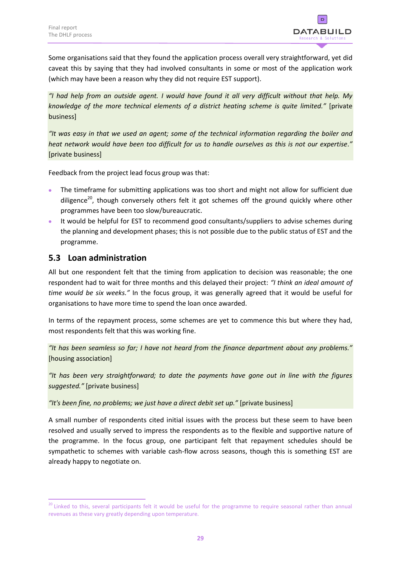

Some organisations said that they found the application process overall very straightforward, yet did caveat this by saying that they had involved consultants in some or most of the application work (which may have been a reason why they did not require EST support).

*"I had help from an outside agent. I would have found it all very difficult without that help. My knowledge of the more technical elements of a district heating scheme is quite limited."* [private business]

*"It was easy in that we used an agent; some of the technical information regarding the boiler and heat network would have been too difficult for us to handle ourselves as this is not our expertise."* [private business]

Feedback from the project lead focus group was that:

- The timeframe for submitting applications was too short and might not allow for sufficient due diligence<sup>20</sup>, though conversely others felt it got schemes off the ground quickly where other programmes have been too slow/bureaucratic.
- It would be helpful for EST to recommend good consultants/suppliers to advise schemes during the planning and development phases; this is not possible due to the public status of EST and the programme.

### <span id="page-32-0"></span>**5.3 Loan administration**

1

All but one respondent felt that the timing from application to decision was reasonable; the one respondent had to wait for three months and this delayed their project: *"I think an ideal amount of time would be six weeks."* In the focus group, it was generally agreed that it would be useful for organisations to have more time to spend the loan once awarded.

In terms of the repayment process, some schemes are yet to commence this but where they had, most respondents felt that this was working fine.

*"It has been seamless so far; I have not heard from the finance department about any problems."* [housing association]

*"It has been very straightforward; to date the payments have gone out in line with the figures suggested."* [private business]

*"It's been fine, no problems; we just have a direct debit set up."* [private business]

A small number of respondents cited initial issues with the process but these seem to have been resolved and usually served to impress the respondents as to the flexible and supportive nature of the programme. In the focus group, one participant felt that repayment schedules should be sympathetic to schemes with variable cash-flow across seasons, though this is something EST are already happy to negotiate on.

<sup>&</sup>lt;sup>20</sup> Linked to this, several participants felt it would be useful for the programme to require seasonal rather than annual revenues as these vary greatly depending upon temperature.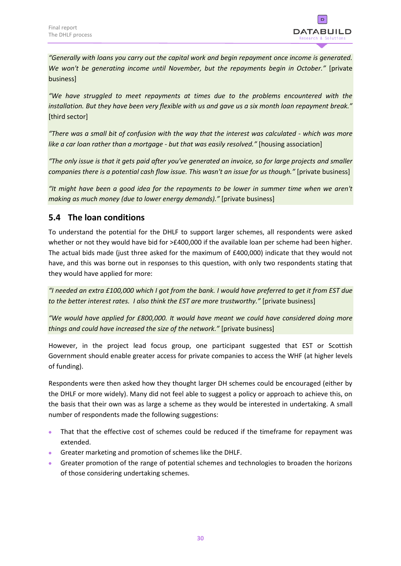

*"Generally with loans you carry out the capital work and begin repayment once income is generated. We won't be generating income until November, but the repayments begin in October."* [private business]

*"We have struggled to meet repayments at times due to the problems encountered with the installation. But they have been very flexible with us and gave us a six month loan repayment break."*  [third sector]

*"There was a small bit of confusion with the way that the interest was calculated - which was more like a car loan rather than a mortgage - but that was easily resolved."* [housing association]

*"The only issue is that it gets paid after you've generated an invoice, so for large projects and smaller companies there is a potential cash flow issue. This wasn't an issue for us though."* [private business]

*"It might have been a good idea for the repayments to be lower in summer time when we aren't making as much money (due to lower energy demands)."* [private business]

# <span id="page-33-0"></span>**5.4 The loan conditions**

To understand the potential for the DHLF to support larger schemes, all respondents were asked whether or not they would have bid for >£400,000 if the available loan per scheme had been higher. The actual bids made (just three asked for the maximum of £400,000) indicate that they would not have, and this was borne out in responses to this question, with only two respondents stating that they would have applied for more:

*"I needed an extra £100,000 which I got from the bank. I would have preferred to get it from EST due to the better interest rates. I also think the EST are more trustworthy."* [private business]

*"We would have applied for £800,000. It would have meant we could have considered doing more things and could have increased the size of the network."* [private business]

However, in the project lead focus group, one participant suggested that EST or Scottish Government should enable greater access for private companies to access the WHF (at higher levels of funding).

Respondents were then asked how they thought larger DH schemes could be encouraged (either by the DHLF or more widely). Many did not feel able to suggest a policy or approach to achieve this, on the basis that their own was as large a scheme as they would be interested in undertaking. A small number of respondents made the following suggestions:

- That that the effective cost of schemes could be reduced if the timeframe for repayment was extended.
- Greater marketing and promotion of schemes like the DHLF.
- Greater promotion of the range of potential schemes and technologies to broaden the horizons of those considering undertaking schemes.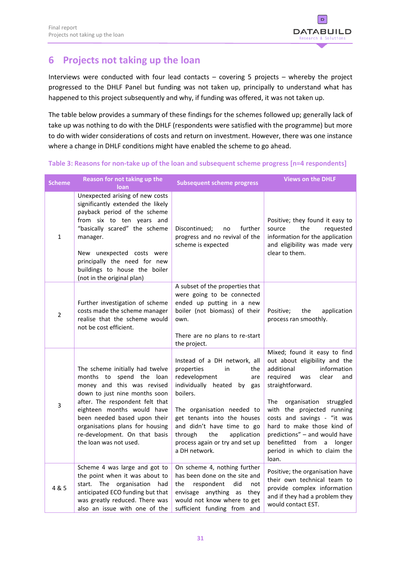

# <span id="page-34-0"></span>**6 Projects not taking up the loan**

Interviews were conducted with four lead contacts – covering 5 projects – whereby the project progressed to the DHLF Panel but funding was not taken up, principally to understand what has happened to this project subsequently and why, if funding was offered, it was not taken up.

The table below provides a summary of these findings for the schemes followed up; generally lack of take up was nothing to do with the DHLF (respondents were satisfied with the programme) but more to do with wider considerations of costs and return on investment. However, there was one instance where a change in DHLF conditions might have enabled the scheme to go ahead.

| <b>Scheme</b>  | Reason for not taking up the<br>loan                                                                                                                                                                                                                                                                                         | <b>Subsequent scheme progress</b>                                                                                                                                                                                                                                                                            | <b>Views on the DHLF</b>                                                                                                                                                                                                                                                                                                                                                                     |
|----------------|------------------------------------------------------------------------------------------------------------------------------------------------------------------------------------------------------------------------------------------------------------------------------------------------------------------------------|--------------------------------------------------------------------------------------------------------------------------------------------------------------------------------------------------------------------------------------------------------------------------------------------------------------|----------------------------------------------------------------------------------------------------------------------------------------------------------------------------------------------------------------------------------------------------------------------------------------------------------------------------------------------------------------------------------------------|
| $\mathbf{1}$   | Unexpected arising of new costs<br>significantly extended the likely<br>payback period of the scheme<br>from six to ten years and<br>"basically scared" the scheme<br>manager.<br>New unexpected costs were<br>principally the need for new<br>buildings to house the boiler<br>(not in the original plan)                   | further<br>Discontinued;<br>no<br>progress and no revival of the<br>scheme is expected                                                                                                                                                                                                                       | Positive; they found it easy to<br>the<br>requested<br>source<br>information for the application<br>and eligibility was made very<br>clear to them.                                                                                                                                                                                                                                          |
| $\overline{2}$ | Further investigation of scheme<br>costs made the scheme manager<br>realise that the scheme would<br>not be cost efficient.                                                                                                                                                                                                  | A subset of the properties that<br>were going to be connected<br>ended up putting in a new<br>boiler (not biomass) of their<br>own.<br>There are no plans to re-start<br>the project.                                                                                                                        | Positive;<br>the<br>application<br>process ran smoothly.                                                                                                                                                                                                                                                                                                                                     |
| 3              | The scheme initially had twelve<br>months to<br>spend the loan<br>money and this was revised<br>down to just nine months soon<br>after. The respondent felt that<br>eighteen months would have<br>been needed based upon their<br>organisations plans for housing<br>re-development. On that basis<br>the loan was not used. | Instead of a DH network, all<br>properties<br>in<br>the<br>redevelopment<br>are<br>individually heated<br>by gas<br>boilers.<br>The organisation needed to<br>get tenants into the houses<br>and didn't have time to go<br>through<br>the<br>application<br>process again or try and set up<br>a DH network. | Mixed; found it easy to find<br>out about eligibility and the<br>additional<br>information<br>required<br>was<br>clear<br>and<br>straightforward.<br>The<br>organisation<br>struggled<br>with the projected running<br>costs and savings - "it was<br>hard to make those kind of<br>predictions" - and would have<br>benefitted from<br>a<br>longer<br>period in which to claim the<br>loan. |
| 4 & 5          | Scheme 4 was large and got to<br>the point when it was about to<br>start. The organisation<br>had<br>anticipated ECO funding but that<br>was greatly reduced. There was<br>also an issue with one of the                                                                                                                     | On scheme 4, nothing further<br>has been done on the site and<br>the<br>respondent<br>did<br>not<br>envisage anything as they<br>would not know where to get<br>sufficient funding from and                                                                                                                  | Positive; the organisation have<br>their own technical team to<br>provide complex information<br>and if they had a problem they<br>would contact EST.                                                                                                                                                                                                                                        |

**Table 3: Reasons for non-take up of the loan and subsequent scheme progress [n=4 respondents]**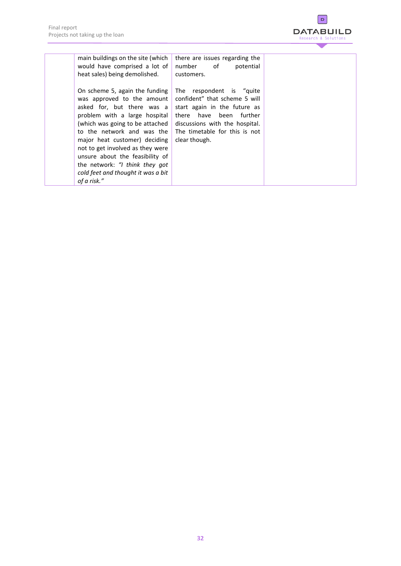

| main buildings on the site (which<br>would have comprised a lot of<br>heat sales) being demolished.                                                                                                                                                                                                                                                                                         | there are issues regarding the<br>number of<br>potential<br>customers.                                                                                                                                   |  |
|---------------------------------------------------------------------------------------------------------------------------------------------------------------------------------------------------------------------------------------------------------------------------------------------------------------------------------------------------------------------------------------------|----------------------------------------------------------------------------------------------------------------------------------------------------------------------------------------------------------|--|
| On scheme 5, again the funding<br>was approved to the amount<br>asked for, but there was a<br>problem with a large hospital<br>(which was going to be attached<br>to the network and was the<br>major heat customer) deciding<br>not to get involved as they were<br>unsure about the feasibility of<br>the network: "I think they got<br>cold feet and thought it was a bit<br>of a risk." | The respondent is "quite<br>confident" that scheme 5 will<br>start again in the future as<br>there have been further<br>discussions with the hospital.<br>The timetable for this is not<br>clear though. |  |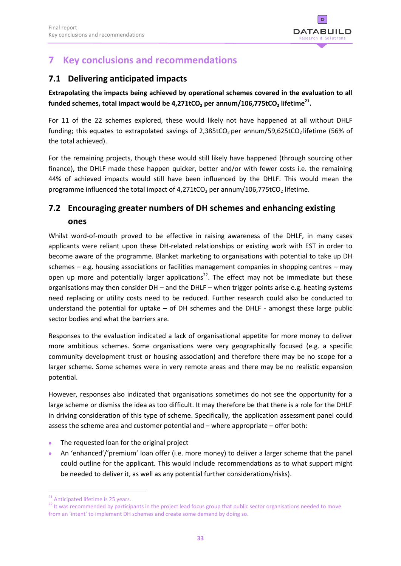

# <span id="page-36-0"></span>**7 Key conclusions and recommendations**

# <span id="page-36-1"></span>**7.1 Delivering anticipated impacts**

**Extrapolating the impacts being achieved by operational schemes covered in the evaluation to all funded schemes, total impact would be 4,271tCO<sup>2</sup> per annum/106,775tCO<sup>2</sup> lifetime<sup>21</sup> .**

For 11 of the 22 schemes explored, these would likely not have happened at all without DHLF funding; this equates to extrapolated savings of 2,385tCO<sub>2</sub> per annum/59,625tCO<sub>2</sub> lifetime (56% of the total achieved).

For the remaining projects, though these would still likely have happened (through sourcing other finance), the DHLF made these happen quicker, better and/or with fewer costs i.e. the remaining 44% of achieved impacts would still have been influenced by the DHLF. This would mean the programme influenced the total impact of  $4,271tCO<sub>2</sub>$  per annum/106,775tCO<sub>2</sub> lifetime.

# <span id="page-36-2"></span>**7.2 Encouraging greater numbers of DH schemes and enhancing existing ones**

Whilst word-of-mouth proved to be effective in raising awareness of the DHLF, in many cases applicants were reliant upon these DH-related relationships or existing work with EST in order to become aware of the programme. Blanket marketing to organisations with potential to take up DH schemes – e.g. housing associations or facilities management companies in shopping centres – may open up more and potentially larger applications<sup>22</sup>. The effect may not be immediate but these organisations may then consider  $DH -$  and the  $DHLF -$  when trigger points arise e.g. heating systems need replacing or utility costs need to be reduced. Further research could also be conducted to understand the potential for uptake – of DH schemes and the DHLF - amongst these large public sector bodies and what the barriers are.

Responses to the evaluation indicated a lack of organisational appetite for more money to deliver more ambitious schemes. Some organisations were very geographically focused (e.g. a specific community development trust or housing association) and therefore there may be no scope for a larger scheme. Some schemes were in very remote areas and there may be no realistic expansion potential.

However, responses also indicated that organisations sometimes do not see the opportunity for a large scheme or dismiss the idea as too difficult. It may therefore be that there is a role for the DHLF in driving consideration of this type of scheme. Specifically, the application assessment panel could assess the scheme area and customer potential and – where appropriate – offer both:

- The requested loan for the original project
- An 'enhanced'/'premium' loan offer (i.e. more money) to deliver a larger scheme that the panel could outline for the applicant. This would include recommendations as to what support might be needed to deliver it, as well as any potential further considerations/risks).

 $\overline{a}$ <sup>21</sup> Anticipated lifetime is 25 years.

<sup>&</sup>lt;sup>22</sup> It was recommended by participants in the project lead focus group that public sector organisations needed to move from an 'intent' to implement DH schemes and create some demand by doing so.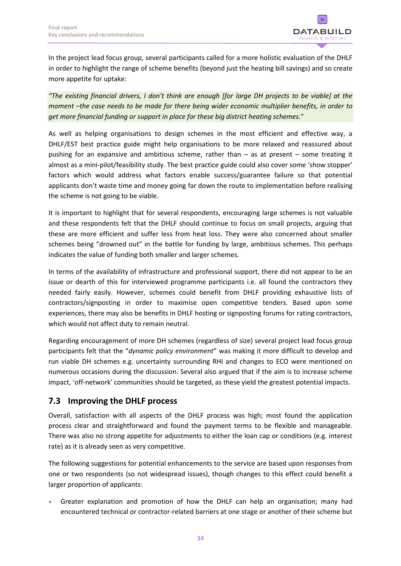

In the project lead focus group, several participants called for a more holistic evaluation of the DHLF in order to highlight the range of scheme benefits (beyond just the heating bill savings) and so create more appetite for uptake:

*"The existing financial drivers, I don't think are enough [for large DH projects to be viable] at the moment –the case needs to be made for there being wider economic multiplier benefits, in order to get more financial funding or support in place for these big district heating schemes.*"

As well as helping organisations to design schemes in the most efficient and effective way, a DHLF/EST best practice guide might help organisations to be more relaxed and reassured about pushing for an expansive and ambitious scheme, rather than – as at present – some treating it almost as a mini-pilot/feasibility study. The best practice guide could also cover some 'show stopper' factors which would address what factors enable success/guarantee failure so that potential applicants don't waste time and money going far down the route to implementation before realising the scheme is not going to be viable.

It is important to highlight that for several respondents, encouraging large schemes is not valuable and these respondents felt that the DHLF should continue to focus on small projects, arguing that these are more efficient and suffer less from heat loss. They were also concerned about smaller schemes being "drowned out" in the battle for funding by large, ambitious schemes. This perhaps indicates the value of funding both smaller and larger schemes.

In terms of the availability of infrastructure and professional support, there did not appear to be an issue or dearth of this for interviewed programme participants i.e. all found the contractors they needed fairly easily. However, schemes could benefit from DHLF providing exhaustive lists of contractors/signposting in order to maximise open competitive tenders. Based upon some experiences, there may also be benefits in DHLF hosting or signposting forums for rating contractors, which would not affect duty to remain neutral.

Regarding encouragement of more DH schemes (regardless of size) several project lead focus group participants felt that the "*dynamic policy environment*" was making it more difficult to develop and run viable DH schemes e.g. uncertainty surrounding RHI and changes to ECO were mentioned on numerous occasions during the discussion. Several also argued that if the aim is to increase scheme impact, 'off-network' communities should be targeted, as these yield the greatest potential impacts.

# <span id="page-37-0"></span>**7.3 Improving the DHLF process**

Overall, satisfaction with all aspects of the DHLF process was high; most found the application process clear and straightforward and found the payment terms to be flexible and manageable. There was also no strong appetite for adjustments to either the loan cap or conditions (e.g. interest rate) as it is already seen as very competitive.

The following suggestions for potential enhancements to the service are based upon responses from one or two respondents (so not widespread issues), though changes to this effect could benefit a larger proportion of applicants:

 Greater explanation and promotion of how the DHLF can help an organisation; many had encountered technical or contractor-related barriers at one stage or another of their scheme but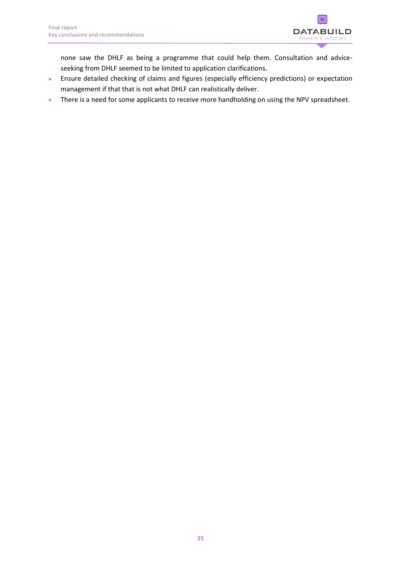

none saw the DHLF as being a programme that could help them. Consultation and adviceseeking from DHLF seemed to be limited to application clarifications.

- Ensure detailed checking of claims and figures (especially efficiency predictions) or expectation management if that that is not what DHLF can realistically deliver.
- There is a need for some applicants to receive more handholding on using the NPV spreadsheet.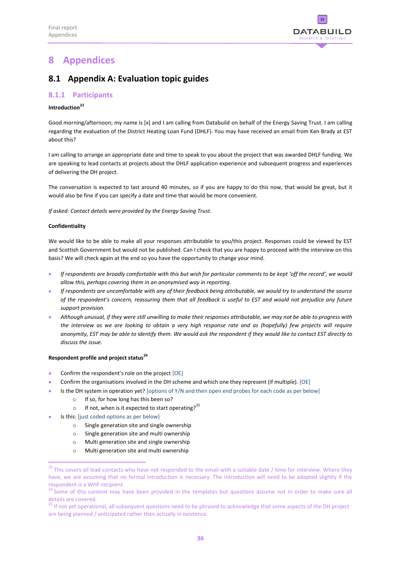

# <span id="page-39-0"></span>**8 Appendices**

# <span id="page-39-1"></span>**8.1 Appendix A: Evaluation topic guides**

### <span id="page-39-2"></span>**8.1.1 Participants**

### **Introduction<sup>23</sup>**

Good morning/afternoon; my name is [x] and I am calling from Databuild on behalf of the Energy Saving Trust. I am calling regarding the evaluation of the District Heating Loan Fund (DHLF). You may have received an email from Ken Brady at EST about this?

I am calling to arrange an appropriate date and time to speak to you about the project that was awarded DHLF funding. We are speaking to lead contacts at projects about the DHLF application experience and subsequent progress and experiences of delivering the DH project.

The conversation is expected to last around 40 minutes, so if you are happy to do this now, that would be great, but it would also be fine if you can specify a date and time that would be more convenient.

*If asked: Contact details were provided by the Energy Saving Trust.*

### **Confidentiality**

 $\overline{a}$ 

We would like to be able to make all your responses attributable to you/this project. Responses could be viewed by EST and Scottish Government but would not be published. Can I check that you are happy to proceed with the interview on this basis? We will check again at the end so you have the opportunity to change your mind.

- *If respondents are broadly comfortable with this but wish for particular comments to be kept 'off the record', we would allow this, perhaps covering them in an anonymised way in reporting.*
- *If respondents are uncomfortable with any of their feedback being attributable, we would try to understand the source of the respondent's concern, reassuring them that all feedback is useful to EST and would not prejudice any future support provision.*
- *Although unusual, if they were still unwilling to make their responses attributable, we may not be able to progress with the interview as we are looking to obtain a very high response rate and as (hopefully) few projects will require anonymity, EST may be able to identify them. We would ask the respondent if they would like to contact EST directly to discuss the issue.*

### **Respondent profile and project status<sup>24</sup>**

- Confirm the respondent's role on the project [OE]
- Confirm the organisations involved in the DH scheme and which one they represent (if multiple). [OE]
- Is the DH system in operation yet? [options of Y/N and then open end probes for each code as per below]
	- o If so, for how long has this been so?
	- o If not, when is it expected to start operating?<sup>25</sup>
	- Is this: [just coded options as per below]
		- o Single generation site and single ownership
		- o Single generation site and multi ownership
		- o Multi generation site and single ownership
		- o Multi generation site and multi ownership

 $^{23}$  This covers all lead contacts who have not responded to the email with a suitable date / time for interview. Where they have, we are assuming that no formal introduction is necessary. The introduction will need to be adapted slightly if the respondent is a WHF recipient.

<sup>&</sup>lt;sup>24</sup> Some of this content may have been provided in the templates but questions assume not in order to make sure all details are covered.

<sup>&</sup>lt;sup>25</sup> If not yet operational, all subsequent questions need to be phrased to acknowledge that some aspects of the DH project are being planned / anticipated rather than actually in existence.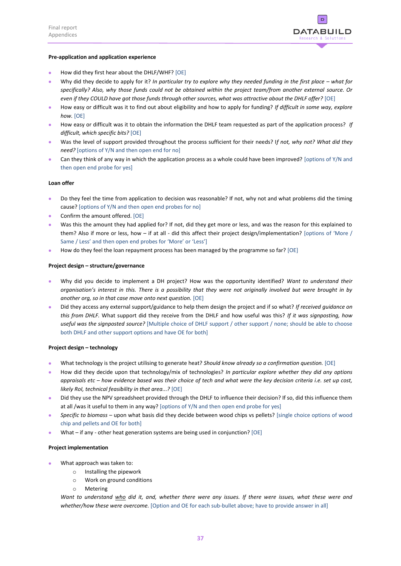

### **Pre-application and application experience**

- How did they first hear about the DHLF/WHF? [OE]
- Why did they decide to apply for it? *In particular try to explore why they needed funding in the first place what for specifically? Also, why those funds could not be obtained within the project team/from another external source. Or even if they COULD have got those funds through other sources, what was attractive about the DHLF offer?* [OE]
- How easy or difficult was it to find out about eligibility and how to apply for funding? *If difficult in some way, explore how.* [OE]
- How easy or difficult was it to obtain the information the DHLF team requested as part of the application process? *If difficult, which specific bits?* [OE]
- Was the level of support provided throughout the process sufficient for their needs? I*f not, why not? What did they need?* [options of Y/N and then open end for no]
- Can they think of any way in which the application process as a whole could have been improved? [options of Y/N and then open end probe for yes]

### **Loan offer**

- Do they feel the time from application to decision was reasonable? If not, why not and what problems did the timing cause? [options of Y/N and then open end probes for no]
- Confirm the amount offered. [OE]
- Was this the amount they had applied for? If not, did they get more or less, and was the reason for this explained to them? Also if more or less, how – if at all - did this affect their project design/implementation? [options of 'More / Same / Less' and then open end probes for 'More' or 'Less']
- How do they feel the loan repayment process has been managed by the programme so far? [OE]

### **Project design – structure/governance**

- Why did you decide to implement a DH project? How was the opportunity identified? *Want to understand their organisation's interest in this. There is a possibility that they were not originally involved but were brought in by another org, so in that case move onto next question.* [OE]
- Did they access any external support/guidance to help them design the project and if so what? *If received guidance on this from DHLF.* What support did they receive from the DHLF and how useful was this? *If it was signposting, how useful was the signposted source?* [Multiple choice of DHLF support / other support / none; should be able to choose both DHLF and other support options and have OE for both]

### **Project design – technology**

- What technology is the project utilising to generate heat? *Should know already so a confirmation question.* [OE]
- How did they decide upon that technology/mix of technologies? *In particular explore whether they did any options appraisals etc – how evidence based was their choice of tech and what were the key decision criteria i.e. set up cost, likely RoI, technical feasibility in that area...?* [OE]
- Did they use the NPV spreadsheet provided through the DHLF to influence their decision? If so, did this influence them at all /was it useful to them in any way? [options of Y/N and then open end probe for yes]
- *Specific to biomass –* upon what basis did they decide between wood chips vs pellets? [single choice options of wood chip and pellets and OE for both]
- What if any other heat generation systems are being used in conjunction? [OE]

### **Project implementation**

- What approach was taken to:
	- o Installing the pipework
	- o Work on ground conditions
	- o Metering

*Want to understand who did it, and, whether there were any issues. If there were issues, what these were and whether/how these were overcome.* [Option and OE for each sub-bullet above; have to provide answer in all]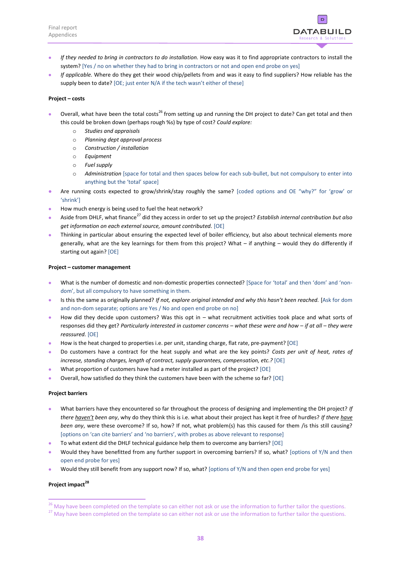

- *If they needed to bring in contractors to do installation.* How easy was it to find appropriate contractors to install the system? [Yes / no on whether they had to bring in contractors or not and open end probe on yes]
- *If applicable.* Where do they get their wood chip/pellets from and was it easy to find suppliers? How reliable has the supply been to date? [OE; just enter N/A if the tech wasn't either of these]

### **Project – costs**

- Overall, what have been the total costs<sup>26</sup> from setting up and running the DH project to date? Can get total and then this could be broken down (perhaps rough %s) by type of cost? *Could explore:*
	- o *Studies and appraisals*
	- o *Planning dept approval process*
	- o *Construction / installation*
	- o *Equipment*
	- o *Fuel supply*
	- o *Administration* [space for total and then spaces below for each sub-bullet, but not compulsory to enter into anything but the 'total' space]
- Are running costs expected to grow/shrink/stay roughly the same? [coded options and OE "why?" for 'grow' or 'shrink']
- How much energy is being used to fuel the heat network?
- Aside from DHLF, what finance<sup>27</sup> did they access in order to set up the project? *Establish internal contribution but also get information on each external source, amount contributed.* [OE]
- Thinking in particular about ensuring the expected level of boiler efficiency, but also about technical elements more generally, what are the key learnings for them from this project? What – if anything – would they do differently if starting out again? [OE]

### **Project – customer management**

- What is the number of domestic and non-domestic properties connected? [Space for 'total' and then 'dom' and 'nondom', but all compulsory to have something in them.
- Is this the same as originally planned? *If not, explore original intended and why this hasn't been reached.* [Ask for dom and non-dom separate; options are Yes / No and open end probe on no]
- How did they decide upon customers? Was this opt in what recruitment activities took place and what sorts of responses did they get? *Particularly interested in customer concerns – what these were and how – if at all – they were reassured.* [OE]
- How is the heat charged to properties i.e. per unit, standing charge, flat rate, pre-payment? [OE]
- Do customers have a contract for the heat supply and what are the key points? *Costs per unit of heat, rates of increase, standing charges, length of contract, supply guarantees, compensation, etc.?* [OE]
- What proportion of customers have had a meter installed as part of the project? [OE]
- Overall, how satisfied do they think the customers have been with the scheme so far? [OE]

### **Project barriers**

- What barriers have they encountered so far throughout the process of designing and implementing the DH project? *If there haven't been any*, why do they think this is i.e. what about their project has kept it free of hurdles? *If there have been any*, were these overcome? If so, how? If not, what problem(s) has this caused for them /is this still causing? [options on 'can cite barriers' and 'no barriers', with probes as above relevant to response]
- To what extent did the DHLF technical guidance help them to overcome any barriers? [OE]
- Would they have benefitted from any further support in overcoming barriers? If so, what? [options of Y/N and then open end probe for yes]
- Would they still benefit from any support now? If so, what? [options of Y/N and then open end probe for yes]

### **Project impact<sup>28</sup>**

1

<sup>&</sup>lt;sup>26</sup> May have been completed on the template so can either not ask or use the information to further tailor the questions.

<sup>&</sup>lt;sup>27</sup> May have been completed on the template so can either not ask or use the information to further tailor the questions.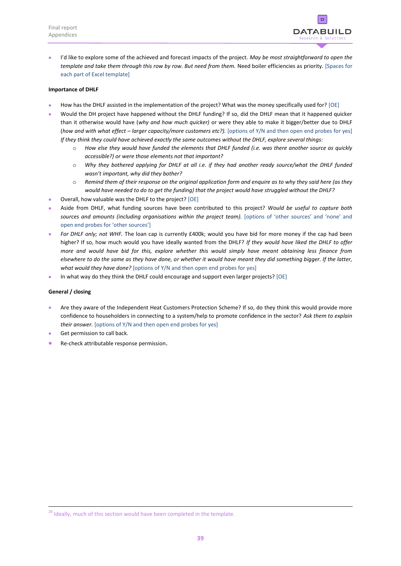

 I'd like to explore some of the achieved and forecast impacts of the project. *May be most straightforward to open the template and take them through this row by row. But need from them.* Need boiler efficiencies as priority. [Spaces for each part of Excel template]

### **Importance of DHLF**

- How has the DHLF assisted in the implementation of the project? What was the money specifically used for? [OE]
- Would the DH project have happened without the DHLF funding? If so, did the DHLF mean that it happened quicker than it otherwise would have (*why and how much quicker)* or were they able to make it bigger/better due to DHLF (*how and with what effect – larger capacity/more customers etc?).* [options of Y/N and then open end probes for yes] *If they think they could have achieved exactly the same outcomes without the DHLF, explore several things:*
	- o *How else they would have funded the elements that DHLF funded (i.e. was there another source as quickly accessible?) or were those elements not that important?*
	- o *Why they bothered applying for DHLF at all i.e. if they had another ready source/what the DHLF funded wasn't important, why did they bother?*
	- o *Remind them of their response on the original application form and enquire as to why they said here (as they would have needed to do to get the funding) that the project would have struggled without the DHLF?*
- Overall, how valuable was the DHLF to the project? [OE]
- Aside from DHLF, what funding sources have been contributed to this project? *Would be useful to capture both sources and amounts (including organisations within the project team).* [options of 'other sources' and 'none' and open end probes for 'other sources']
- *For DHLF only; not WHF.* The loan cap is currently £400k; would you have bid for more money if the cap had been higher? If so, how much would you have ideally wanted from the DHLF? *If they would have liked the DHLF to offer more and would have bid for this, explore whether this would simply have meant obtaining less finance from elsewhere to do the same as they have done, or whether it would have meant they did something bigger. If the latter, what would they have done?* [options of Y/N and then open end probes for yes]
- In what way do they think the DHLF could encourage and support even larger projects? [OE]

### **General / closing**

**.** 

- Are they aware of the Independent Heat Customers Protection Scheme? If so, do they think this would provide more confidence to householders in connecting to a system/help to promote confidence in the sector? *Ask them to explain their answer.* [options of Y/N and then open end probes for yes]
- Get permission to call back.
- Re-check attributable response permission.

<sup>&</sup>lt;sup>28</sup> Ideally, much of this section would have been completed in the template.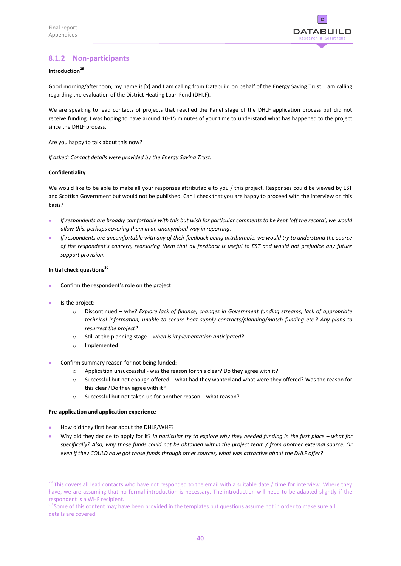

### <span id="page-43-0"></span>**8.1.2 Non-participants**

### **Introduction<sup>29</sup>**

Good morning/afternoon; my name is [x] and I am calling from Databuild on behalf of the Energy Saving Trust. I am calling regarding the evaluation of the District Heating Loan Fund (DHLF).

We are speaking to lead contacts of projects that reached the Panel stage of the DHLF application process but did not receive funding. I was hoping to have around 10-15 minutes of your time to understand what has happened to the project since the DHLF process.

Are you happy to talk about this now?

*If asked: Contact details were provided by the Energy Saving Trust.*

### **Confidentiality**

We would like to be able to make all your responses attributable to you / this project. Responses could be viewed by EST and Scottish Government but would not be published. Can I check that you are happy to proceed with the interview on this basis?

- *If respondents are broadly comfortable with this but wish for particular comments to be kept 'off the record', we would allow this, perhaps covering them in an anonymised way in reporting.*
- *If respondents are uncomfortable with any of their feedback being attributable, we would try to understand the source of the respondent's concern, reassuring them that all feedback is useful to EST and would not prejudice any future support provision.*

### **Initial check questions<sup>30</sup>**

- Confirm the respondent's role on the project
- Is the project:

1

- o Discontinued why? *Explore lack of finance, changes in Government funding streams, lack of appropriate technical information, unable to secure heat supply contracts/planning/match funding etc.? Any plans to resurrect the project?*
- o Still at the planning stage *when is implementation anticipated?*
- o Implemented
- Confirm summary reason for not being funded:
	- o Application unsuccessful was the reason for this clear? Do they agree with it?
	- o Successful but not enough offered what had they wanted and what were they offered? Was the reason for this clear? Do they agree with it?
	- o Successful but not taken up for another reason what reason?

### **Pre-application and application experience**

- How did they first hear about the DHLF/WHF?
- Why did they decide to apply for it? *In particular try to explore why they needed funding in the first place what for specifically? Also, why those funds could not be obtained within the project team / from another external source. Or even if they COULD have got those funds through other sources, what was attractive about the DHLF offer?*

 $29$  This covers all lead contacts who have not responded to the email with a suitable date / time for interview. Where they have, we are assuming that no formal introduction is necessary. The introduction will need to be adapted slightly if the respondent is a WHF recipient.

 $30$  Some of this content may have been provided in the templates but questions assume not in order to make sure all details are covered.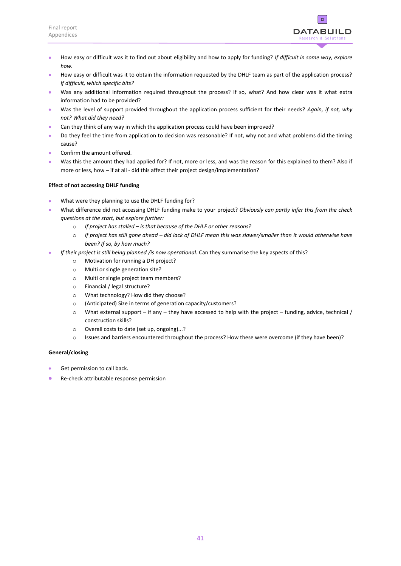

- How easy or difficult was it to find out about eligibility and how to apply for funding? *If difficult in some way, explore how.*
- **How easy or difficult was it to obtain the information requested by the DHLF team as part of the application process?** *If difficult, which specific bits?*
- Was any additional information required throughout the process? If so, what? And how clear was it what extra information had to be provided?
- Was the level of support provided throughout the application process sufficient for their needs? *Again, if not, why not? What did they need?*
- Can they think of any way in which the application process could have been improved?
- Do they feel the time from application to decision was reasonable? If not, why not and what problems did the timing cause?
- Confirm the amount offered.
- Was this the amount they had applied for? If not, more or less, and was the reason for this explained to them? Also if more or less, how – if at all - did this affect their project design/implementation?

### **Effect of not accessing DHLF funding**

- What were they planning to use the DHLF funding for?
- What difference did not accessing DHLF funding make to your project? *Obviously can partly infer this from the check questions at the start, but explore further:*
	- o *If project has stalled – is that because of the DHLF or other reasons?*
	- o *If project has still gone ahead – did lack of DHLF mean this was slower/smaller than it would otherwise have been? If so, by how much?*
- *If their project is still being planned /is now operational.* Can they summarise the key aspects of this?
	- o Motivation for running a DH project?
	- o Multi or single generation site?
	- o Multi or single project team members?
	- o Financial / legal structure?
	- o What technology? How did they choose?
	- o (Anticipated) Size in terms of generation capacity/customers?
	- o What external support if any they have accessed to help with the project funding, advice, technical / construction skills?
	- o Overall costs to date (set up, ongoing)...?
	- o Issues and barriers encountered throughout the process? How these were overcome (if they have been)?

### **General/closing**

- Get permission to call back.
- Re-check attributable response permission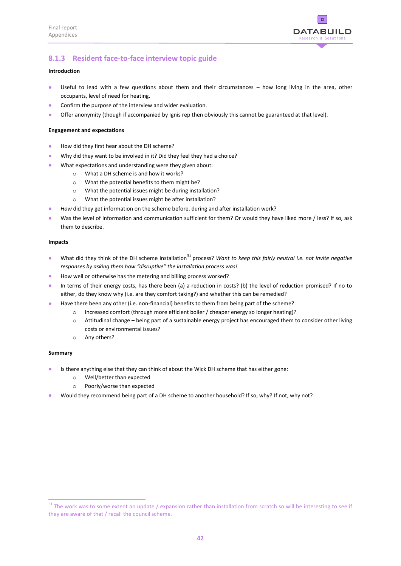

### <span id="page-45-0"></span>**8.1.3 Resident face-to-face interview topic guide**

### **Introduction**

- Useful to lead with a few questions about them and their circumstances how long living in the area, other occupants, level of need for heating.
- Confirm the purpose of the interview and wider evaluation.
- Offer anonymity (though if accompanied by Ignis rep then obviously this cannot be guaranteed at that level).

### **Engagement and expectations**

- How did they first hear about the DH scheme?
- Why did they want to be involved in it? Did they feel they had a choice?
- What expectations and understanding were they given about:
	- o What a DH scheme is and how it works?
	- o What the potential benefits to them might be?
	- o What the potential issues might be during installation?
	- o What the potential issues might be after installation?
- **How** did they get information on the scheme before, during and after installation work?
- Was the level of information and communication sufficient for them? Or would they have liked more / less? If so, ask them to describe.

### **Impacts**

- what did they think of the DH scheme installation<sup>31</sup> process? Want to keep this fairly neutral i.e. not invite negative *responses by asking them how "disruptive" the installation process was!*
- How well or otherwise has the metering and billing process worked?
- In terms of their energy costs, has there been (a) a reduction in costs? (b) the level of reduction promised? If no to either, do they know why (i.e. are they comfort taking?) and whether this can be remedied?
- **•** Have there been any other (i.e. non-financial) benefits to them from being part of the scheme?
	- o Increased comfort (through more efficient boiler / cheaper energy so longer heating)?
	- o Attitudinal change being part of a sustainable energy project has encouraged them to consider other living costs or environmental issues?
	- o Any others?

### **Summary**

1

- Is there anything else that they can think of about the Wick DH scheme that has either gone:
	- o Well/better than expected
	- o Poorly/worse than expected
- Would they recommend being part of a DH scheme to another household? If so, why? If not, why not?

 $31$  The work was to some extent an update / expansion rather than installation from scratch so will be interesting to see if they are aware of that / recall the council scheme.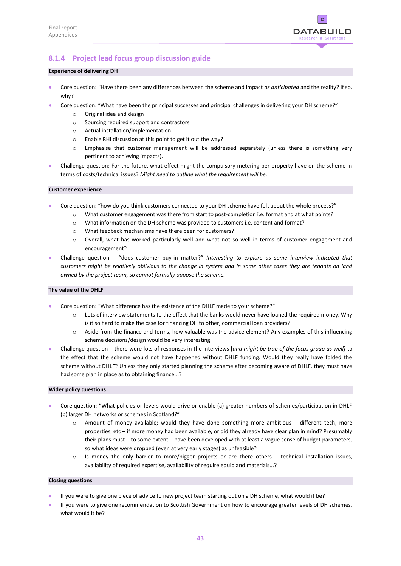

### <span id="page-46-0"></span>**8.1.4 Project lead focus group discussion guide**

### **Experience of delivering DH**

- Core question: "Have there been any differences between the scheme and impact *as anticipated* and the reality? If so, why?
- Core question: "What have been the principal successes and principal challenges in delivering your DH scheme?"
	- o Original idea and design
	- o Sourcing required support and contractors
	- o Actual installation/implementation
	- o Enable RHI discussion at this point to get it out the way?
	- o Emphasise that customer management will be addressed separately (unless there is something very pertinent to achieving impacts).
- Challenge question: For the future, what effect might the compulsory metering per property have on the scheme in terms of costs/technical issues? *Might need to outline what the requirement will be.*

#### **Customer experience**

- Core question: "how do you think customers connected to your DH scheme have felt about the whole process?"
	- o What customer engagement was there from start to post-completion i.e. format and at what points?
	- o What information on the DH scheme was provided to customers i.e. content and format?
	- o What feedback mechanisms have there been for customers?
	- o Overall, what has worked particularly well and what not so well in terms of customer engagement and encouragement?
- Challenge question "does customer buy-in matter?" *Interesting to explore as some interview indicated that customers might be relatively oblivious to the change in system and in some other cases they are tenants on land owned by the project team, so cannot formally oppose the scheme.*

### **The value of the DHLF**

- Core question: "What difference has the existence of the DHLF made to your scheme?"
	- o Lots of interview statements to the effect that the banks would never have loaned the required money. Why is it so hard to make the case for financing DH to other, commercial loan providers?
	- o Aside from the finance and terms, how valuable was the advice element? Any examples of this influencing scheme decisions/design would be very interesting.
- Challenge question there were lots of responses in the interviews [*and might be true of the focus group as well]* to the effect that the scheme would not have happened without DHLF funding. Would they really have folded the scheme without DHLF? Unless they only started planning the scheme after becoming aware of DHLF, they must have had some plan in place as to obtaining finance...?

#### **Wider policy questions**

- Core question: "What policies or levers would drive or enable (a) greater numbers of schemes/participation in DHLF (b) larger DH networks or schemes in Scotland?"
	- o Amount of money available; would they have done something more ambitious different tech, more properties, etc – if more money had been available, or did they already have clear plan in mind? Presumably their plans must – to some extent – have been developed with at least a vague sense of budget parameters, so what ideas were dropped (even at very early stages) as unfeasible?
	- o Is money the only barrier to more/bigger projects or are there others technical installation issues, availability of required expertise, availability of require equip and materials...?

#### **Closing questions**

- If you were to give one piece of advice to new project team starting out on a DH scheme, what would it be?
- If you were to give one recommendation to Scottish Government on how to encourage greater levels of DH schemes, what would it be?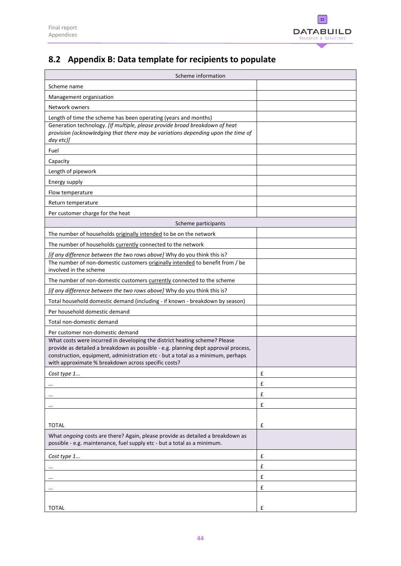

# <span id="page-47-0"></span>**8.2 Appendix B: Data template for recipients to populate**

| Scheme information                                                                                                                                                                                                                                                                                         |   |  |  |
|------------------------------------------------------------------------------------------------------------------------------------------------------------------------------------------------------------------------------------------------------------------------------------------------------------|---|--|--|
| Scheme name                                                                                                                                                                                                                                                                                                |   |  |  |
| Management organisation                                                                                                                                                                                                                                                                                    |   |  |  |
| Network owners                                                                                                                                                                                                                                                                                             |   |  |  |
| Length of time the scheme has been operating (years and months)                                                                                                                                                                                                                                            |   |  |  |
| Generation technology. [If multiple, please provide broad breakdown of heat<br>provision (acknowledging that there may be variations depending upon the time of<br>day etc)]                                                                                                                               |   |  |  |
| Fuel                                                                                                                                                                                                                                                                                                       |   |  |  |
| Capacity                                                                                                                                                                                                                                                                                                   |   |  |  |
| Length of pipework                                                                                                                                                                                                                                                                                         |   |  |  |
| Energy supply                                                                                                                                                                                                                                                                                              |   |  |  |
| Flow temperature                                                                                                                                                                                                                                                                                           |   |  |  |
| Return temperature                                                                                                                                                                                                                                                                                         |   |  |  |
| Per customer charge for the heat                                                                                                                                                                                                                                                                           |   |  |  |
| Scheme participants                                                                                                                                                                                                                                                                                        |   |  |  |
| The number of households originally intended to be on the network                                                                                                                                                                                                                                          |   |  |  |
| The number of households currently connected to the network                                                                                                                                                                                                                                                |   |  |  |
| [if any difference between the two rows above] Why do you think this is?                                                                                                                                                                                                                                   |   |  |  |
| The number of non-domestic customers originally intended to benefit from / be<br>involved in the scheme                                                                                                                                                                                                    |   |  |  |
| The number of non-domestic customers currently connected to the scheme                                                                                                                                                                                                                                     |   |  |  |
| [if any difference between the two rows above] Why do you think this is?                                                                                                                                                                                                                                   |   |  |  |
| Total household domestic demand (including - if known - breakdown by season)                                                                                                                                                                                                                               |   |  |  |
| Per household domestic demand                                                                                                                                                                                                                                                                              |   |  |  |
| Total non-domestic demand                                                                                                                                                                                                                                                                                  |   |  |  |
| Per customer non-domestic demand                                                                                                                                                                                                                                                                           |   |  |  |
| What costs were incurred in developing the district heating scheme? Please<br>provide as detailed a breakdown as possible - e.g. planning dept approval process,<br>construction, equipment, administration etc - but a total as a minimum, perhaps<br>with approximate % breakdown across specific costs? |   |  |  |
| Cost type 1                                                                                                                                                                                                                                                                                                | £ |  |  |
| $\cdots$                                                                                                                                                                                                                                                                                                   | £ |  |  |
|                                                                                                                                                                                                                                                                                                            | £ |  |  |
|                                                                                                                                                                                                                                                                                                            | £ |  |  |
|                                                                                                                                                                                                                                                                                                            |   |  |  |
| <b>TOTAL</b>                                                                                                                                                                                                                                                                                               | £ |  |  |
| What ongoing costs are there? Again, please provide as detailed a breakdown as<br>possible - e.g. maintenance, fuel supply etc - but a total as a minimum.                                                                                                                                                 |   |  |  |
| Cost type 1                                                                                                                                                                                                                                                                                                | £ |  |  |
|                                                                                                                                                                                                                                                                                                            | £ |  |  |
|                                                                                                                                                                                                                                                                                                            | £ |  |  |
|                                                                                                                                                                                                                                                                                                            | £ |  |  |
|                                                                                                                                                                                                                                                                                                            |   |  |  |
| <b>TOTAL</b>                                                                                                                                                                                                                                                                                               | £ |  |  |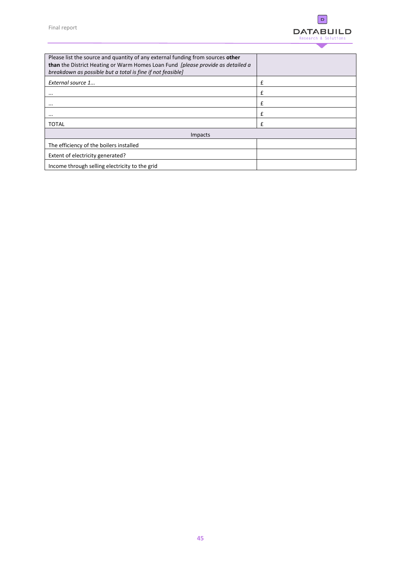

| Please list the source and quantity of any external funding from sources other<br>than the District Heating or Warm Homes Loan Fund [please provide as detailed a<br>breakdown as possible but a total is fine if not feasible] |              |
|---------------------------------------------------------------------------------------------------------------------------------------------------------------------------------------------------------------------------------|--------------|
| External source 1                                                                                                                                                                                                               | £            |
| $\cdots$                                                                                                                                                                                                                        | £            |
| $\cdots$                                                                                                                                                                                                                        | £            |
| $\cdots$                                                                                                                                                                                                                        | £            |
| <b>TOTAL</b>                                                                                                                                                                                                                    | $\mathbf{f}$ |
| Impacts                                                                                                                                                                                                                         |              |
| The efficiency of the boilers installed                                                                                                                                                                                         |              |
| Extent of electricity generated?                                                                                                                                                                                                |              |
| Income through selling electricity to the grid                                                                                                                                                                                  |              |